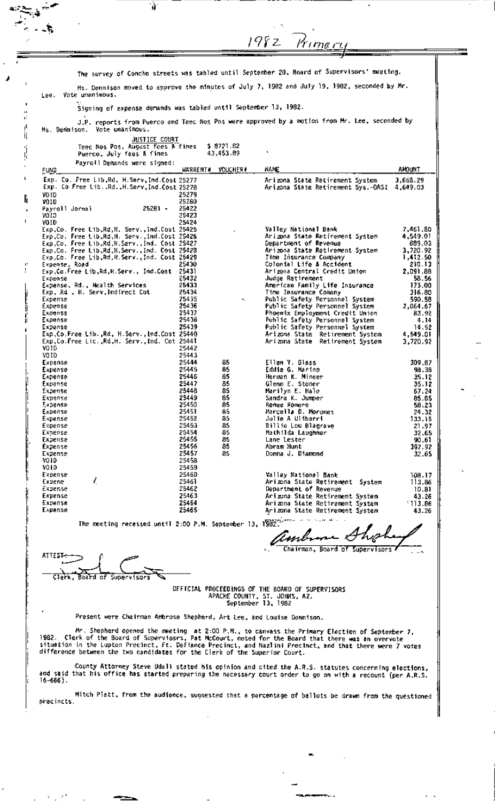|                        | The survey of Concho streets was tabled until September 20, Board of Supervisors' meeting,<br>Lee. Yote unanimous.<br>Signing of expense demands was tabled until September 13, 1982. |                |                                    |                                                                                                                                                                                                                                                                                                                     |                    |
|------------------------|---------------------------------------------------------------------------------------------------------------------------------------------------------------------------------------|----------------|------------------------------------|---------------------------------------------------------------------------------------------------------------------------------------------------------------------------------------------------------------------------------------------------------------------------------------------------------------------|--------------------|
|                        |                                                                                                                                                                                       |                |                                    |                                                                                                                                                                                                                                                                                                                     |                    |
|                        |                                                                                                                                                                                       |                |                                    | Ms. Dennison moved to approve the minutes of July 7, 1982 and July 19, 1982, seconded by Mr.                                                                                                                                                                                                                        |                    |
|                        |                                                                                                                                                                                       |                |                                    |                                                                                                                                                                                                                                                                                                                     |                    |
|                        |                                                                                                                                                                                       |                |                                    | J.P. reports from Puerco and Teed Nos Pos were approved by a motion from Mr. Lee, seconded by                                                                                                                                                                                                                       |                    |
|                        | Ms. Demnison. Vote unanimous.<br><b>JUSTICE COURT</b>                                                                                                                                 |                |                                    |                                                                                                                                                                                                                                                                                                                     |                    |
|                        | Teec Nos Pos, August fees & fines                                                                                                                                                     |                | \$8721.62<br>43,453.89             |                                                                                                                                                                                                                                                                                                                     |                    |
|                        | Puerco, July fees & fines<br>Payroll Demands were signed:                                                                                                                             |                |                                    |                                                                                                                                                                                                                                                                                                                     |                    |
| <b>FUND</b>            | Exp. Co. Free Lib.Rd. H.Serv.Ind.Cost 25277                                                                                                                                           |                | <b>VOUCHER#</b><br><b>WARRENT#</b> | <b>NAME</b><br>Arizona State Retirement System                                                                                                                                                                                                                                                                      | AMOUNT<br>3,668,29 |
|                        | Exp. Co Free Lib. Rd. H. Serv, Ind.Cost 25278                                                                                                                                         |                |                                    | Arizona State Retirement Sys.-OASI 4,649.03                                                                                                                                                                                                                                                                         |                    |
| VD ED.<br>VOID         |                                                                                                                                                                                       | 25279<br>25280 |                                    |                                                                                                                                                                                                                                                                                                                     |                    |
| Payroll Jornal<br>CIOV | 25281 -                                                                                                                                                                               | 25422<br>25423 |                                    |                                                                                                                                                                                                                                                                                                                     |                    |
| VOID                   | Exp.Co. Free Lib.Rd.H. Serv.,Ind.Cost 25425                                                                                                                                           | 25424          |                                    | Valley National Bank                                                                                                                                                                                                                                                                                                | 7,461.80           |
|                        | Exp.Co. Free Lib,Rd,H. Serv.,Ind.Cost 25426<br>Exp.Co. Free Lib,Rd,H.Serv.,Ind. Cost 25427                                                                                            |                |                                    | Arizona State Retirement System<br>Department of Revenue                                                                                                                                                                                                                                                            | 4,549.01<br>889.03 |
|                        | Exp.Co. Free Lib,Rd,H.Serv.,Ind. Cost 25428                                                                                                                                           |                |                                    | Arizona State Retirement System                                                                                                                                                                                                                                                                                     | 3,720.92           |
| Expense, Road          | Exp.Co. Free Lib,Rd,R.Serv.,Ind. Cost 25429                                                                                                                                           | 25430          |                                    | Time Insurance Company<br>Colonial Life & Accident                                                                                                                                                                                                                                                                  | 1,412.50<br>210.13 |
| Expense                | Exp.Co.Free Lib.Rd,H.Serv., Ind.Cost 25431                                                                                                                                            | 25432          |                                    | Arizona Central Credit Union<br>Judge Retirement                                                                                                                                                                                                                                                                    | 2,091.88<br>58.56  |
|                        | Expense, Rd., Health Services                                                                                                                                                         | 25433          |                                    | American Family Life Insurance                                                                                                                                                                                                                                                                                      | 173.00             |
| Expense                | Exp, Rd , H. Serv,Indfrect Cot                                                                                                                                                        | 25434<br>25435 |                                    | Time Insurance Comany<br>Public Safety Personnel System                                                                                                                                                                                                                                                             | 316.80<br>590.58   |
| Expense<br>Expense     |                                                                                                                                                                                       | 25436<br>25437 |                                    | Public Safety Personnel System<br>Phoemix Employment Credit Union                                                                                                                                                                                                                                                   | 2,064.67<br>83.92  |
| Expense                |                                                                                                                                                                                       | 25438          |                                    | Public Safety Personnel System                                                                                                                                                                                                                                                                                      | 4.14               |
| Expense                | Exp.Co.Free Lib. Rd. H.Serv., Ind.Cost 25440                                                                                                                                          | 25439          |                                    | Public Safety Personnel System<br>Arizona State Retirement System                                                                                                                                                                                                                                                   | 14.52<br>4,549.01  |
| YOID                   | Exp.Co.Free Lic. Rd.H. Serv. Ind. Cot 25441                                                                                                                                           | 25442          |                                    | Arizona State Retirement System                                                                                                                                                                                                                                                                                     | 3,720.92           |
| VOID                   |                                                                                                                                                                                       | 25443          |                                    |                                                                                                                                                                                                                                                                                                                     |                    |
| Expense<br>Expense     |                                                                                                                                                                                       | 25444<br>25445 | 85<br>85                           | Ellen Y. Glass<br>Eddie G. Marino                                                                                                                                                                                                                                                                                   | 309.87<br>98.38    |
| Expense<br>Expense     |                                                                                                                                                                                       | 25446<br>25447 | 85<br>85                           | Herman K. Mineer<br>Glenn E. Stoner                                                                                                                                                                                                                                                                                 | 35.12<br>35.12     |
| Expense                |                                                                                                                                                                                       | 25448          | 85                                 | Marilyn E. Hale                                                                                                                                                                                                                                                                                                     | 67.24              |
| Expense<br>Expense     |                                                                                                                                                                                       | 25449<br>25450 | 85<br>85                           | Sandra K. Jumper<br>Renee Romero                                                                                                                                                                                                                                                                                    | 85.85<br>58.23     |
| Expense<br>Expense     |                                                                                                                                                                                       | 25451<br>25452 | 85<br>85                           | Marcella D. Morones<br>Julie A Ulibarri                                                                                                                                                                                                                                                                             | 24.32<br>133.15    |
| Expense                |                                                                                                                                                                                       | 25453          | 85                                 | Billie Lou Blagrave                                                                                                                                                                                                                                                                                                 | 21.97              |
| Expense<br>Expense     |                                                                                                                                                                                       | 25454<br>25455 | 85<br>85                           | Mathilda Laughner<br>Lane Lester                                                                                                                                                                                                                                                                                    | 32.65<br>90.61     |
| Expense<br>Expense     |                                                                                                                                                                                       | 25456<br>25457 | 85<br>85                           | Abram Hunt<br>Donna J. Diamond                                                                                                                                                                                                                                                                                      | 397.92<br>32.65    |
| VOID<br>VOID           |                                                                                                                                                                                       | 25458<br>25459 |                                    |                                                                                                                                                                                                                                                                                                                     |                    |
| Expense                |                                                                                                                                                                                       | 25460          |                                    | Valley National Bank                                                                                                                                                                                                                                                                                                | 108.17             |
| Expene<br>Expense      | L                                                                                                                                                                                     | 25461<br>25462 |                                    | Arizona State Retirement System<br>Department of Revenue                                                                                                                                                                                                                                                            | 113.86<br>10.81    |
| Expense<br>Expense     |                                                                                                                                                                                       | 25463<br>25464 |                                    | Arizona State Retirement System                                                                                                                                                                                                                                                                                     | 43.26              |
| Expense                |                                                                                                                                                                                       | 25465          |                                    | Arizona State Retirement System<br>Arizona State Retirement System                                                                                                                                                                                                                                                  | $-113.86$<br>43.26 |
|                        | The meeting recessed until 2:00 P.M. September 13, 1982.                                                                                                                              |                |                                    |                                                                                                                                                                                                                                                                                                                     |                    |
|                        |                                                                                                                                                                                       |                |                                    | ambrone Ahorhe                                                                                                                                                                                                                                                                                                      |                    |
|                        |                                                                                                                                                                                       |                |                                    | Chairman, Board of Supervisors                                                                                                                                                                                                                                                                                      |                    |
| ATTEST                 |                                                                                                                                                                                       |                |                                    |                                                                                                                                                                                                                                                                                                                     |                    |
|                        | koald of Supervisors                                                                                                                                                                  |                |                                    |                                                                                                                                                                                                                                                                                                                     |                    |
|                        |                                                                                                                                                                                       |                |                                    | DEFICIAL PROCEEDINGS OF THE BOARD OF SUPERVISORS                                                                                                                                                                                                                                                                    |                    |
|                        |                                                                                                                                                                                       |                |                                    | APACHE COUNTY, ST. JOHNS, AZ.<br>September 13, 1982                                                                                                                                                                                                                                                                 |                    |
|                        | Present were Chairman Ambrose Shepherd, Art Lee, and Louise Dennison.                                                                                                                 |                |                                    |                                                                                                                                                                                                                                                                                                                     |                    |
|                        |                                                                                                                                                                                       |                |                                    |                                                                                                                                                                                                                                                                                                                     |                    |
|                        |                                                                                                                                                                                       |                |                                    | Mr. Shepherd opened the meeting at 2:00 P.M., to canvass the Primary Election of September 7,<br>1982. Clerk of the Board of Superviosrs, Pat McCourt, noted for the Board that there was an overvote<br>situation in the Lupton Precinct, Ft. Deflance Precinct, and Nazlini Precinct, and that there were 7 votes |                    |

County Attorney Steve Udali stated his opinion and cited the A.R.S. statutes concerning elections,<br>The necessary court order to go on with a recount (per A.R.S.<br>16-666).

Mitch Platt, from the audience, suggested that a percentage of ballots be drawn from the questioned<br>precincts.

 $\epsilon$  .

 $\lambda_{\rm max}$ 

 $\sim$ 

I

 $\epsilon$  )  $\epsilon$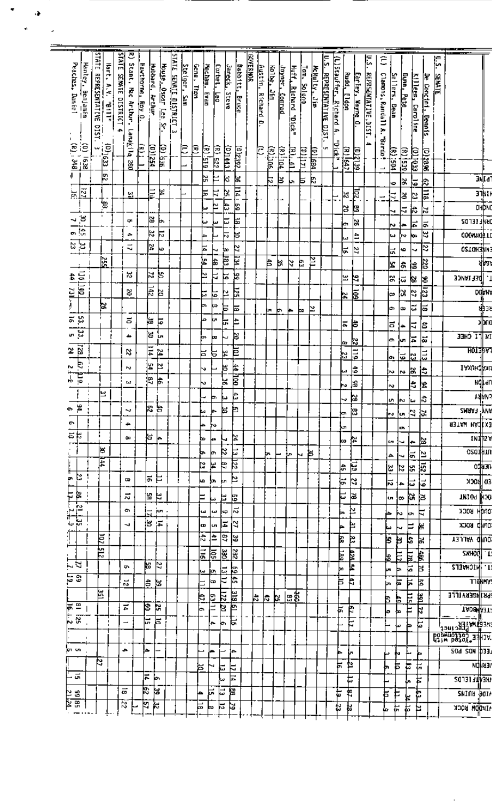| Peaches, Daniel<br>Hanley Benjamin | <b>STATE</b><br>REPRESENTATIVE<br><b>DIST.</b> | Hart, A.V.<br>$n$ $\mathbf{H}$ $\mathbf{H}$ | <b>STATE</b><br>SEMAIE DISTRICT | ਣ<br>Stant, Mac Arthur,  | Hawthorne, Roy 0. | Hubbard, Arthur   | <u>Mouse, Oscar Lee Sr.</u> | <b>STATE SENATE DISTRICT</b><br>ساإ | Steiger, Sam | Gene, Thon | Mechan.<br>F                       | Corbet.<br>E    | Janeck,<br><b>Steve</b> | <b>Babbitt,</b><br><b>Bruce</b> | <b>BOVERMAN</b> | <u> Austin, Richard D</u> | <u>kolbe, Jim</u> | dever, <u>Conrad</u> | Huff, Richard "Dick"      | Tom. Soleng | McMulty, Jim | ۵.5<br><b>REPRESENTAL LVE</b><br><b>Ligh</b> | (L)Stauffer.<br><b>Richard</b><br>Þ | <b>Rudd, Eldon</b>       | Earley, Wayne O | ĔΓ<br><b>REPRSENTATIVE, DIST.</b> | ĉ<br>Clamons, Randall A.          | <u>Sellers</u><br>e<br>B | Dunn, Pete | Killeen, Caroline | De Concini,<br><b>Dennis</b> | ļ.<br><b>SENATE</b> |                                                           |                         |
|------------------------------------|------------------------------------------------|---------------------------------------------|---------------------------------|--------------------------|-------------------|-------------------|-----------------------------|-------------------------------------|--------------|------------|------------------------------------|-----------------|-------------------------|---------------------------------|-----------------|---------------------------|-------------------|----------------------|---------------------------|-------------|--------------|----------------------------------------------|-------------------------------------|--------------------------|-----------------|-----------------------------------|-----------------------------------|--------------------------|------------|-------------------|------------------------------|---------------------|-----------------------------------------------------------|-------------------------|
| $\frac{(0)}{(k)}$ , 348            | ω                                              | $\frac{1}{2}$                               |                                 | Lanakila<br>œ            | Ē                 | <u>(D)1254</u>    | OD Isaa                     |                                     | β            | 厄          | Ε<br>615,                          | <u>(R) 522.</u> | (D)1443                 | 192392                          |                 | c                         | <b>Antilei</b>    | <u>(۱۹۱) اممرا</u>   | In. fl                    | Latio       | 皀<br>國       | Ė                                            | idt.                                | $(11)$ $(4)$             | <u>ee 1500</u>  |                                   | Parde<br>$\overline{\phantom{0}}$ | Σ<br>¦es                 | (8)1529    | <u>cortor</u>     | 9682(0)                      |                     |                                                           |                         |
|                                    |                                                | b                                           |                                 |                          |                   |                   |                             |                                     |              |            | 얾                                  | ⊨               | k                       | 능                               |                 |                           | は                 | ₿                    | h                         | 巨           | R            |                                              |                                     |                          |                 |                                   |                                   | Φ                        | ¦≈         | ⊾                 | k                            |                     |                                                           | 31 I d                  |
| 뉄                                  |                                                |                                             |                                 | 잎                        |                   | E                 | 닠                           |                                     |              |            | ⊨                                  | Þ               | Ņ                       | ाग                              |                 |                           |                   |                      |                           |             |              |                                              |                                     | k                        | ē               |                                   | ↔                                 | ₹                        | l3         | S.                | 巨                            |                     |                                                           | 31NT<br>-- <del>4</del> |
|                                    |                                                | ैंड                                         |                                 |                          |                   |                   |                             |                                     |              |            |                                    | ⊵               | Þ                       | 뎞                               |                 |                           |                   |                      |                           |             |              |                                              |                                     | ౹౫                       | 뎡               |                                   |                                   | ч                        | ₹          | ļ.                | ¦≈                           |                     |                                                           | <b>OHDN</b>             |
|                                    | ŧ                                              |                                             |                                 | ņ                        |                   | 23                | ь                           |                                     |              |            | ω                                  | ш               | ᄇ                       | ᄫ                               |                 |                           |                   |                      |                           |             |              |                                              |                                     | é                        | ¦a              |                                   |                                   | N                        | <b>Ja</b>  | 눠                 | 능                            |                     | ed 131 alya                                               |                         |
| $\frac{30-7.65}{2.05}$             |                                                |                                             |                                 | ٠                        |                   | k                 | P                           |                                     |              |            | ⊨                                  |                 | ド                       | ₩                               |                 |                           |                   |                      |                           |             |              |                                              |                                     |                          | ÷.              |                                   |                                   | w                        | l∾         | ю                 | 3                            |                     | 000mm021                                                  |                         |
| ដូង                                |                                                |                                             |                                 | ₹                        |                   | 얿                 | ю                           |                                     |              |            | ᄫ                                  | ч               | ١×                      |                                 |                 |                           |                   |                      |                           |             |              |                                              |                                     | 능                        | Z               |                                   |                                   | ಷ                        | 40         | v                 | 22                           |                     | <b>USTOMENIN</b>                                          |                         |
|                                    | $\frac{25}{25}$                                |                                             |                                 |                          |                   |                   |                             |                                     |              |            | þ                                  | 쒾               | Рá                      | <u>रा ।भ</u>                    |                 |                           | ŧ                 | ₩,                   | k                         | Þ           | zı           |                                              |                                     |                          |                 |                                   |                                   | Ł                        | l÷,        |                   | 碱                            |                     |                                                           | d۳                      |
|                                    |                                                |                                             |                                 | X,                       |                   | k.                | g                           |                                     |              |            | ⊵                                  | Þ               | ন                       | þ                               |                 |                           |                   |                      |                           |             |              |                                              |                                     | 닢                        | N               |                                   |                                   | 넗                        |            | is,               |                              |                     | DEFIANCE                                                  |                         |
| ־1151   44<br>  1161   121         |                                                |                                             |                                 |                          |                   | $\frac{142}{142}$ |                             |                                     |              |            |                                    |                 |                         |                                 |                 |                           |                   |                      |                           |             |              |                                              |                                     |                          |                 |                                   |                                   |                          | $\vec{5}$  | Þ                 | Ιs<br>E                      |                     |                                                           | <b>DOPN</b>             |
| jπ                                 |                                                |                                             |                                 | S                        |                   |                   | R                           |                                     |              |            | Б                                  | 부               | 협                       | ÞΣ                              |                 |                           |                   |                      |                           |             |              |                                              |                                     | ١ż                       | ē               |                                   |                                   | l∞                       | b.         | Þ                 |                              |                     |                                                           |                         |
|                                    | Þ                                              |                                             |                                 |                          |                   |                   |                             |                                     |              |            | ь                                  | ķφ              | ᄇ                       | 声                               |                 |                           | Lп                | Þ                    | le.                       | œ           | ⊵            |                                              |                                     |                          |                 |                                   |                                   | la.                      | œ          | ವ                 | ౹ౚ                           |                     |                                                           | ψုံး                    |
| š,<br>힟                            |                                                |                                             |                                 | $\overline{a}$           |                   | ŀ.                | 넋                           |                                     |              |            | م                                  | ķ.              | 는                       | ⊨                               |                 |                           |                   |                      |                           |             |              |                                              |                                     | $\overline{\phantom{a}}$ | ╞               |                                   |                                   | a                        | ⊭          | E                 | â                            |                     |                                                           | भूषण                    |
| ಜ.,                                |                                                |                                             |                                 | ٠                        |                   | ļε                | Èл                          |                                     |              |            | Þ.                                 | ᄧ               |                         | ă                               |                 |                           |                   |                      |                           |             |              |                                              |                                     | œ                        | <u>k</u>        |                                   |                                   | la.                      | Ŀп         | ¦∓                | ಹ                            |                     | $\overline{\text{B}}$ if $\overline{\text{I}}$ chee       |                         |
| $\frac{1}{2}$                      |                                                |                                             |                                 | ₿                        |                   | Ξ                 | ρ                           |                                     |              |            | ᄇ                                  | ਙ               | 넼                       | ē                               |                 |                           |                   |                      |                           |             |              |                                              |                                     | Þ                        | Ę               |                                   |                                   |                          | 5          | le.               | $\overline{113}$             |                     | <b>TIOI TI</b> V                                          |                         |
| Ė.<br>tu.                          |                                                |                                             |                                 | P.                       |                   | þΣ                | ⊵                           |                                     |              |            | v                                  |                 | F                       | 최                               |                 |                           |                   |                      |                           |             |              |                                              |                                     |                          | 등               |                                   |                                   | o.                       |            |                   |                              |                     | техонфол                                                  |                         |
| Ĕ<br>Ÿ.                            |                                                |                                             |                                 | LJ.                      |                   | ļ٩                | 븅                           |                                     |              |            | v                                  |                 | 닗                       | हैं                             |                 |                           |                   |                      |                           |             |              |                                              |                                     | L                        |                 |                                   |                                   | l~                       | <b>N</b>   | ļЗ.               | ₿                            |                     |                                                           | <b>Ngjar</b>            |
|                                    | ٣                                              |                                             |                                 |                          |                   |                   |                             |                                     |              |            |                                    |                 |                         | 的                               |                 |                           |                   |                      |                           |             |              |                                              |                                     | w                        | 읿               |                                   |                                   | ∾                        |            | €                 | 9                            |                     |                                                           |                         |
| ڇ ۾                                |                                                |                                             |                                 |                          |                   | lo.               | r                           |                                     |              |            |                                    | œ               | μ                       |                                 |                 |                           |                   |                      |                           |             |              |                                              |                                     |                          | ۱s              |                                   |                                   | u.                       | ΙN         | iw                | ¦₩                           |                     |                                                           | <b>VALUA</b>            |
| ٠<br>o.                            |                                                |                                             |                                 | ∾                        |                   | פס                |                             |                                     |              |            | м                                  | ļ۴              | 厣                       | ٣                               |                 |                           |                   |                      |                           |             |              |                                              |                                     | ∤en                      | ုဒ              |                                   |                                   | 55/2                     |            |                   |                              |                     | SMNY F ANI<br>I                                           |                         |
| 하                                  |                                                |                                             |                                 | ÷                        |                   |                   |                             |                                     |              |            | þ                                  | r,              |                         |                                 |                 |                           |                   |                      |                           |             |              |                                              |                                     | kл                       |                 |                                   |                                   |                          | o.         |                   |                              |                     | язтым мяска                                               |                         |
| т.                                 |                                                |                                             |                                 | œ                        |                   | ¦es               | ⊭                           |                                     |              |            | ь                                  | ÷.              | ٠                       | Þ.                              |                 |                           |                   |                      |                           |             |              |                                              |                                     | ko.                      | ¦≥              |                                   |                                   | ç,                       | ┙          | ÷                 | l.                           |                     |                                                           | เผ¶่น                   |
| Ì                                  | ≋<br>F                                         |                                             |                                 |                          |                   |                   |                             |                                     |              |            | þ.                                 | þп              | ķ,                      | 늡                               |                 |                           | ь.                |                      | ţn.                       | ы           | Þ            |                                              |                                     |                          |                 |                                   |                                   | 4                        | ⊣          | ା≂                | ≌                            |                     | огоции                                                    |                         |
| ŀ,                                 |                                                |                                             |                                 |                          |                   |                   |                             |                                     |              |            | Þ.                                 | 늭               | 티                       | ह्य                             |                 |                           |                   |                      |                           |             |              |                                              |                                     | 붜                        | $\approx$       |                                   |                                   | E,                       | k,         | k.                | 揭                            |                     |                                                           | 03431                   |
| $\approx$                          |                                                |                                             |                                 | ç                        |                   | l#.               | ᄇ                           |                                     |              |            | ۱o                                 | ۱'n             | þп.                     | Þ                               |                 |                           |                   |                      |                           |             |              |                                              |                                     | 능                        | Þ.              |                                   |                                   | $\overline{5}$           | 1≞         | 늡                 | 5                            |                     | ED BOCK                                                   |                         |
|                                    |                                                |                                             |                                 | $\overline{\mathbf{v}}$  |                   | k.                | H                           |                                     |              |            | F                                  | ķν              | Ħ.                      | 쑵                               |                 |                           |                   |                      |                           |             |              |                                              |                                     | Ŀ                        | a               |                                   |                                   | ίn,                      | ¦⇔         | ŀЭ                | lз                           |                     | лигоа јузс                                                |                         |
| a<br>11.<br>11.<br>ုံး             |                                                |                                             |                                 | ÷                        |                   |                   | juni.                       |                                     |              |            | تد)                                | $\pmb{\omega}$  | l⊭                      | ¦ಸ                              |                 |                           |                   |                      |                           |             |              |                                              |                                     | Þ                        | Þ               |                                   |                                   | ┢                        | ∾          | jи.               | Ν                            |                     | эрэн Наск                                                 |                         |
| ្ពុជ្                              |                                                |                                             |                                 | J.                       |                   | l≊                | 懂                           |                                     |              |            | œ                                  | un.             | 치                       | 2                               |                 |                           |                   |                      |                           |             |              |                                              |                                     | ⊨                        | Ħ               |                                   |                                   | k٠                       | ∼          | F                 | 阁                            |                     | onkb Rock                                                 |                         |
| Ĩ                                  | $\frac{10}{2}$                                 |                                             |                                 |                          |                   |                   |                             |                                     |              |            | F                                  | 41              | 명                       | S.                              |                 |                           |                   |                      |                           |             |              |                                              | β                                   |                          | š,              |                                   |                                   | þ<br>þ                   |            | ļs,               | Þ.                           |                     | <b>DUND YALLEY</b>                                        |                         |
|                                    | <u>र्म</u>                                     |                                             |                                 |                          |                   |                   |                             |                                     |              |            | $\overline{\overline{\mathbf{H}}}$ | ត្ត្រ           | L                       | 382                             |                 |                           |                   |                      |                           |             |              |                                              | E                                   |                          |                 |                                   |                                   |                          |            |                   |                              |                     | <b>ZXHOUL T</b>                                           |                         |
| $\sim$ N                           |                                                |                                             |                                 | ç,                       |                   | ŀЗ                | N                           |                                     |              |            |                                    |                 |                         |                                 |                 |                           |                   |                      |                           |             |              |                                              |                                     | Ş<br>Ł                   |                 |                                   |                                   | 鸟                        | Ë          | 冨                 | $\mathbf{E}$<br>Þ            |                     | I. MICHAELS                                               |                         |
| ខេត្                               |                                                |                                             |                                 |                          |                   |                   |                             |                                     |              |            | یئ                                 | jo.<br>∤œ       | E<br>₹                  | b.<br>5ŧ                        |                 |                           |                   |                      |                           |             |              |                                              | þo<br>F                             | 白                        |                 |                                   |                                   | þп<br>Þ                  |            | Þ                 |                              |                     |                                                           | <b>TTENHY</b>           |
|                                    | 늘                                              |                                             |                                 | N,                       |                   | 봐 림               |                             |                                     |              |            | $\equiv$                           |                 |                         |                                 |                 |                           |                   |                      |                           |             |              |                                              |                                     |                          |                 |                                   |                                   | ᄫ<br>þ.                  |            | ҏ                 | 볇                            |                     |                                                           |                         |
| ≘<br>Þ                             |                                                |                                             |                                 | Ŧ,                       | ε                 |                   | þ.                          |                                     |              |            | Þ                                  | <u>63 11</u>    | <u>EZ</u>               | 쁿<br>Þ                          |                 | ŀ.                        | k.                | Þ.                   | $\overline{\mathbb{E}^2}$ |             |              |                                              |                                     |                          |                 |                                   | Þ                                 | ţ.                       |            | Ë                 | ₿                            |                     | <b>PRINGERVILLE</b>                                       |                         |
| ្ល                                 |                                                |                                             |                                 |                          |                   |                   |                             |                                     |              |            | œ                                  |                 | Ъ                       |                                 |                 |                           |                   |                      |                           |             |              |                                              | 본                                   | F                        |                 |                                   | l۴                                | Ło                       |            | Έ                 | k                            |                     | <b>TADS 43T</b>                                           |                         |
|                                    |                                                |                                             |                                 | $\overline{\phantom{0}}$ | 넘                 |                   | ৳                           |                                     |              |            |                                    | ÷.              | lب                      | ⊨                               |                 |                           |                   |                      |                           |             |              |                                              |                                     | Ë                        |                 |                                   |                                   | دسا                      | þ          |                   | Ë                            |                     | ╎╼╾╴╴╶═╶╌║<br>╕╕╝┇┪ <del>Ѵ</del> ┖┋╕┥<br>╕ <u>╕╝╽</u> ╛╝┪ |                         |
|                                    |                                                |                                             |                                 |                          |                   |                   |                             |                                     |              |            |                                    |                 |                         |                                 |                 |                           |                   |                      |                           |             |              |                                              |                                     |                          |                 |                                   |                                   |                          |            |                   |                              |                     | <b>Babweet 285-33H3A</b>                                  |                         |
| )∖⊓uni                             |                                                |                                             | ٠                               |                          | ا م               |                   |                             |                                     |              |            |                                    | l pr            |                         | 1≏                              |                 |                           |                   |                      |                           |             |              |                                              |                                     | Ļπ                       |                 |                                   |                                   | Ņ                        |            | r.                |                              |                     | $50d$ SON $\frac{1}{2}$ 33                                |                         |
|                                    | Þ                                              |                                             |                                 |                          |                   |                   |                             |                                     |              | Þ          |                                    |                 | ŁЕ                      | F                               |                 |                           |                   |                      |                           |             |              |                                              | Н                                   | Þ                        |                 |                                   | ь                                 | ŧ                        | Þ          | 뉴                 |                              |                     |                                                           | <b>Ndia</b>             |
| $\vec{g}$                          |                                                |                                             |                                 |                          | 치                 | ь                 |                             |                                     |              |            |                                    |                 | ω                       | 白                               |                 |                           |                   |                      |                           |             |              |                                              |                                     | ţ                        |                 |                                   |                                   |                          | Ļ,         | Þ                 |                              |                     | <b>SON31 JUV3H</b>                                        |                         |
| 9의 85<br>21 교육                     |                                                |                                             | $\vec{a}$                       |                          | 5                 | ۱ă                |                             |                                     |              | ما         | 닍                                  | 晨               | 闣                       |                                 |                 |                           |                   |                      |                           |             |              |                                              | F                                   | €                        |                 |                                   | F                                 | ŧ                        | ¥          | ሯ                 |                              |                     | <b>SHIUR BOI</b>                                          |                         |
|                                    |                                                |                                             | 2                               |                          | Ŀ,                | k                 |                             |                                     |              | ᄫ          | bo.                                | 능               | Þ                       |                                 |                 |                           |                   |                      |                           |             |              |                                              | þ                                   | þ                        |                 |                                   | 6                                 | 缶                        | È          | Þ                 |                              |                     | <b>IKUDN ROCK</b>                                         |                         |
|                                    |                                                |                                             |                                 |                          |                   |                   |                             |                                     |              |            |                                    |                 |                         |                                 |                 |                           |                   |                      |                           |             |              |                                              |                                     |                          |                 |                                   |                                   |                          |            |                   |                              |                     |                                                           |                         |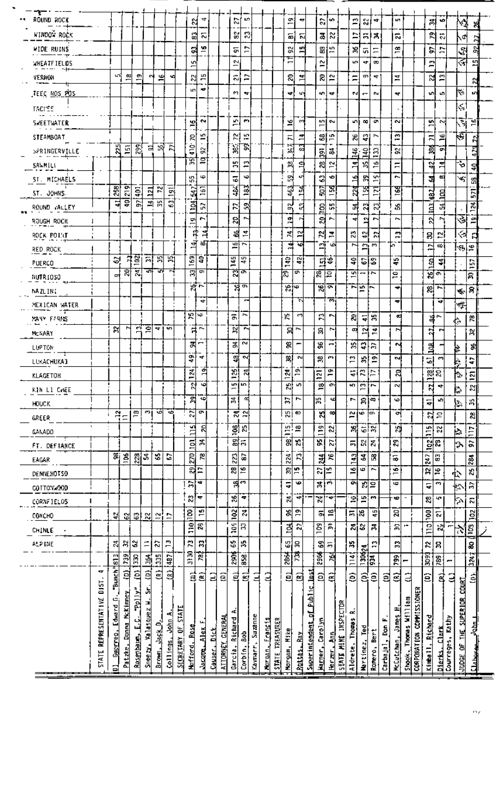| ٦.                  |                |               |                 |                 |                                 |             |                |              |                     |                               |               |                         |                     | 叻                |          |                |           |                   |                 |                |                               |                        |                   |                |                              |                         |          |              |                          |                          |                |                |            |                        |                |  |
|---------------------|----------------|---------------|-----------------|-----------------|---------------------------------|-------------|----------------|--------------|---------------------|-------------------------------|---------------|-------------------------|---------------------|------------------|----------|----------------|-----------|-------------------|-----------------|----------------|-------------------------------|------------------------|-------------------|----------------|------------------------------|-------------------------|----------|--------------|--------------------------|--------------------------|----------------|----------------|------------|------------------------|----------------|--|
| ROUND ROCK          |                |               |                 |                 |                                 |             |                |              | S                   | 4                             |               |                         | ম                   |                  |          |                |           | 의                 | ÷               |                | S.                            | ็เก                    |                   | Ľ,             | ଷା                           | 4                       |          | P.           |                          |                          | 예              | w              |            | ٧J                     | я              |  |
| <b>WINDOW ROCK</b>  |                |               |                 |                 |                                 |             |                |              | 덞                   | 등                             |               |                         | e,                  | R)               |          |                |           | 品                 | ត               |                | 종                             | S.                     |                   | ⋍              | 冨                            | त्र                     |          | 룷            |                          |                          | ፎ              | $\ddot{\circ}$ |            | √⊅                     |                |  |
| <b>WIDE RUINS</b>   |                |               |                 |                 |                                 |             |                |              | $\ddot{\mathbf{a}}$ | c<br>-                        |               |                         | 등                   | $\overline{ }$   |          |                |           | \$Ż<br>Ε          | 쁴               |                |                               | 예능                     |                   | 澙              | Ģ,                           | Ξ                       |          | œ<br>-       |                          |                          | 5,             | Þ              |            | $\mathcal{R}^{\prime}$ | 얽              |  |
| <b>WHEATFIELDS</b>  |                |               |                 |                 |                                 |             |                |              | 40                  |                               |               |                         | Ź<br>$\overline{ }$ |                  |          |                |           |                   |                 |                | N<br>$\overline{\phantom{0}}$ |                        |                   | in.            | ₩                            | œ                       |          |              |                          |                          | <b>m</b><br>-  |                |            | ₹                      | 며              |  |
| VERNON              |                | L3            | 의               | 획               | N                               | 읙           | ۰d             |              | 웨                   | E<br>$\overline{\phantom{a}}$ |               |                         | 4                   | Ξ                |          |                |           | 워                 | $\mathbb{F}$    |                | 치                             | $\approx$              |                   | Ξ              |                              | 패하                      |          | 호            |                          |                          | $\approx$      | $\Xi$          |            |                        | 2              |  |
| TEEC <u>NOS POS</u> |                |               |                 |                 |                                 |             |                |              | L.                  | ٠                             |               |                         | e.                  | ₩                |          |                |           | ÷                 | 49              |                | 40   <del>47</del>            |                        |                   | M              | $\overline{ }$               | $\sim$                  |          | 47           |                          |                          | ᆒ              | ĥ.             |            | ∻                      | u.             |  |
| TACYES              |                |               |                 |                 |                                 |             |                |              |                     |                               |               |                         |                     |                  |          |                |           |                   |                 |                |                               |                        |                   |                |                              |                         |          |              |                          |                          |                |                |            | $\sim$                 |                |  |
| SWEETWATER          |                |               |                 |                 |                                 |             |                |              | 의                   | $\sim$                        |               |                         | £,                  | $\mathbf{r}$     |          |                |           | 의                 | rα∳             |                | шı                            | N                      |                   | ا ما           | $\infty$                     | ø                       |          | $\sim$       |                          |                          | un             | N,             |            | ज                      | ءِ             |  |
| STEAMBOAT           |                |               |                 |                 |                                 |             |                |              | 50                  | ᄞ<br>-                        |               |                         | 科                   | Ю,               |          |                |           | д                 | 킈               |                | 없는                            |                        |                   | 渴              | 위                            | r,                      |          | £,           |                          |                          | π              | 뙥              |            | ١ē                     | £,             |  |
| SPRINGERVILLE       |                | 25            | Ã               | 죓               |                                 | 벽 函         | Þ              |              | ġ                   | 없                             |               |                         | g                   | 힑                |          |                |           | ×                 | a               |                | ē,                            | 忌                      |                   | 当              | £                            | $\mathbf{E}$            |          | S,           |                          |                          | শ্ল            | ōП             |            |                        | $\frac{1}{2}$  |  |
| SANNIL!             |                |               |                 |                 |                                 |             |                |              | দ্ধ                 | Ξ                             |               |                         | 陈                   | 의                |          |                |           | 읚                 | 로               |                | æ                             | 혙                      |                   | ÷<br>п         | 舄                            | ۱é                      |          | Ξ            |                          |                          | 이              | 뉰              |            | ক                      | Ş              |  |
| ST. MICHAELS        |                |               |                 |                 |                                 |             |                |              | Ψ,                  | Ф                             |               |                         | 5                   | ٠                |          |                |           | 뛊                 | ᅿ               |                | g                             | ٠                      |                   | ⊴              | /                            | 꾁                       |          | r.           |                          |                          | ョ              | 쪅              |            | ∨,                     | 岊              |  |
| ST. JOHNS.          |                | $25\,$        | 219             | Ş               | 킼                               | 圖           | 의              |              | 547                 | G)<br>−                       |               |                         | 亨                   | 183              |          |                |           | 463               | 궠               |                | Га<br>Б                       | प्त<br>$\overline{ }$  |                   | Ň              | 눮                            | 뒄                       |          | ě            |                          |                          | 형              | 팈              |            |                        | 57             |  |
| ROUND VALLEY        |                | ᆟ             | ਵ               | 얾               | 킈                               | 뚊           | S              |              | 회                   | S,                            |               |                         | P,                  | 器                |          |                |           | 없                 | ជ               |                | g                             | LO.<br>LO <sub>1</sub> |                   | 펅              | ଅ                            | $\mathbb{S}^1$          |          | å,           |                          |                          | ã              | ᇽ              |            |                        | $\overline{z}$ |  |
| RJUGH ROCK          |                |               |                 |                 |                                 |             |                |              | 메                   | r                             |               |                         | 8                   | P.               |          |                |           | P.                |                 |                | 위                             | r.                     |                   | ᆏ              | 의                            | r,                      |          | ł            |                          |                          | କ୍ଷ            | r              |            | $\leq$                 | £              |  |
| ROCK POINT          |                |               |                 |                 |                                 |             |                |              | #                   | 늰                             |               |                         | ଞ୍ଜ                 | 흔                |          |                |           | 본                 | 의               |                | 뉇                             | 킂                      |                   | Ľ,             | 읚                            | $\overline{\mathbf{z}}$ |          | P            |                          |                          | 8              | 의              |            | ⊲                      | Я              |  |
| RED ROCK            |                |               |                 |                 |                                 |             |                |              | ज                   | œ,                            |               |                         | -                   | 마트               |          |                |           | 봌                 | ïΘ              |                | ЕÏ                            | اعا                    |                   | ∾              | 의 ^^                         |                         |          | ka.          |                          |                          | Þ              | ₩              |            | 'ଝା≈                   |                |  |
| PUERCO              |                | 없             |                 | អុទ្ធ           | 둬<br>Ŷ                          | 圖<br>ল      | 宮              |              | 169                 | a,                            |               |                         | $\frac{145}{2}$     | 15               |          |                |           | Î                 | 우               |                | 다음<br>یم                      |                        |                   | 운              | ျော                          |                         |          | ÷            |                          |                          | 쉉              | 킈              |            |                        | Ъ,<br>سمع      |  |
| NUTR1050            |                | ᆎ             | 뫄               | हा              |                                 |             |                |              | ন্নিল               |                               |               |                         |                     | শুলি             |          |                |           | ⊠                 | œ               |                | हाव                           |                        |                   | 꾀              | -                            | יי                      |          | $\mathbf{r}$ |                          |                          |                | "ଆଇ            |            |                        | 暠              |  |
| NA ZL IN I          |                |               |                 |                 |                                 |             |                |              | $\mathbb{R}$        |                               |               |                         |                     | ष्ठक             |          |                |           | న∣అ               |                 |                | শুলে                          |                        |                   | r~∣ vo         |                              |                         |          | ↞            |                          |                          | 원              | r.             |            | $\leftarrow$           | <b>ន</b>       |  |
| MEXICAN WATER       |                |               |                 |                 |                                 |             |                |              |                     | ᆎ                             |               |                         |                     | n                |          |                |           |                   | T.              |                |                               | ਨ                      |                   |                |                              |                         |          | 4            |                          |                          |                | ᆎ              |            | 뼥                      |                |  |
| MAY FRIS            |                |               |                 |                 |                                 |             |                |              | 왕년                  |                               |               |                         | Б                   | P,               |          |                |           | ю                 | ᆒ               |                | 圖                             | Ţ,                     |                   | 치              | 뒥                            | 器                       |          | ল            |                          |                          |                | కొ             |            | ♦                      | æ              |  |
| Mc IARY             |                | 웨             | M               |                 | $\frac{1}{2}$ and $\frac{1}{2}$ |             |                |              | ส∾                  |                               |               |                         | P.                  | N                |          |                |           | 启                 | ŀ               |                | 昂                             | r.                     |                   | œ              | 의본                           |                         |          | r,           |                          |                          | ង              | r.             |            |                        | ×              |  |
| LUPTON              |                |               |                 |                 |                                 |             |                |              | 圖                   | −                             |               |                         | ă,                  | S                |          |                |           | 窝                 | Ţ               |                | æ                             | æ,                     |                   | ă,             | 위                            | ۱F                      |          | м            |                          |                          | 퉠              |                |            | ₿                      | \$             |  |
| LUKACHUKAI          |                |               |                 |                 |                                 |             |                |              | 위▼                  |                               |               |                         | 쒂                   | N                |          |                |           | 哵                 | 췍               |                | 黑                             | m                      |                   | r              | 씨의                           |                         |          | 예            |                          |                          | 히              | m              |            | Þ.                     | ÷.             |  |
| KLAGETOH            |                |               |                 |                 |                                 |             |                |              | $\frac{1}{2}$       | গ                             |               |                         | $\overline{5}$      | 봒                |          |                |           | 124               | Ã               |                | 121                           | ፰                      |                   | $\overline{4}$ | $\mathbb{Z} \mid \mathbb{D}$ |                         |          | ন্ন          |                          |                          |                | <u>ង</u> ន     |            | h.                     | $\overline{2}$ |  |
| KIN LI CHEE         |                |               |                 |                 |                                 |             |                |              | ন্ন                 | ᅿ                             |               |                         | un,                 | <b>SP</b>        |          |                |           | Z,                | u.              |                | 亶                             | œ                      |                   | ю              | L3                           | ,                       |          | N            |                          |                          | N              | 4              |            | ₿                      | 잆              |  |
| <b>HDUCK</b>        |                |               |                 |                 |                                 |             |                |              | ন্ন                 | 49                            |               |                         | 볾                   | ન્વ              |          |                |           | Þ,                | r               |                | 56                            | ᆆ                      |                   | r.             | ≋∣≈                          |                         |          | امه          |                          |                          | 4              | u.             |            | $\mathcal{L}$          | å,             |  |
| GREER               |                | ₽             | $\ddot{}$       | 쯤               | mi                              | ∾           | -6             |              | 27                  | ç                             |               |                         |                     | 24<br>12         |          |                |           | 55                | œ               |                | ৱ                             | ᅇ                      |                   | Σ,             | နေကြေ                        |                         |          | 어            |                          |                          | $\overline{z}$ | ă              |            |                        | æ              |  |
| GANADO              |                |               |                 |                 |                                 |             |                |              | $\frac{15}{2}$      | ଣ                             |               |                         | <u>ទ្ធ</u> )        | R,               |          |                |           | $\frac{15}{2}$    | 宫               |                | $\frac{1}{2}$                 | $\approx$              |                   | $\mathbf{S}$   | $\frac{1}{2}$                |                         |          | 첹            |                          |                          | Ë              | N              |            | ļ.                     | È              |  |
| FT. DEFIANCE        |                |               |                 |                 |                                 |             |                |              | 희                   | 뵑                             |               |                         |                     | 없는               |          |                |           | 읽                 | K.              |                | ă,                            | Z.                     |                   | 鬲              | 있을                           |                         |          | 2            |                          |                          | 엙              | €.             |            | la.                    | ä              |  |
| EAGAR               |                | 窉             | $\geq$          | 228             | l 2                             | ٠.          | G              |              | $\frac{2}{n}$       | 꾑                             |               |                         | 223                 | 5                |          |                |           | 224               | R               |                | 3                             | ۳                      |                   | $\frac{3}{4}$  | 회                            | R                       |          | 5            |                          |                          | 247            | 5              |            |                        | $\frac{4}{3}$  |  |
| DENNEHOTSD          |                |               |                 |                 |                                 |             |                |              | 의도                  |                               |               |                         | జ                   | 16               |          |                |           | ត                 | $\overline{15}$ |                | ងង្គ្រ                        |                        |                   | £              | 5                            | P.                      |          | ەر           |                          |                          | ×,             | Ψ              |            | ቲ                      | X)             |  |
| COTTON: 00D         |                |               |                 |                 |                                 |             |                |              | ă,                  | ¦≂dr                          |               |                         |                     | चू∾              |          |                |           | ÷                 | Φ               |                | 壽                             | Į٣                     |                   | o              | 지르                           |                         |          | Ф            |                          |                          | ÷              | S              |            | Þ                      | R              |  |
| CORNETELOS          | п              |               |                 |                 |                                 |             |                |              | ೪¦್                 |                               |               |                         | $\mathbf{r}$        | ٠                |          |                |           | 리                 | — ⊦             |                | X                             | ₩                      |                   | ₽              | 의                            | <b>M</b>                |          | ¢            |                          |                          | R,             | ц٠             |            | 卜                      | К              |  |
| CONCHO              |                | 웨             | 옚               | G               | $\approx$                       | 씝           | Þ              |              | $\frac{8}{1}$       | £                             |               |                         | $\frac{1}{2}$       | $\boldsymbol{z}$ |          |                |           | \$,               | ድ               |                | 뢰                             | <u>يو</u>              |                   | 듥              | k.                           | 出                       |          | ឌ            |                          |                          | 9QL            | E.             |            |                        | ğ              |  |
| CHINLE              |                |               |                 |                 |                                 |             |                |              | å                   | æ                             |               |                         | É                   | В                |          |                |           | ョ                 | R,              |                | $\frac{3}{2}$                 | 冨                      |                   | 있었             |                              | 冨                       |          | Э            | $\overline{\phantom{a}}$ |                          | Ë              | $\sim$         |            | ヘ                      | $\overline{5}$ |  |
| ALP ME              |                | 뵎             | S,              | S               | Ē                               | <b>S</b>    | P              |              | R,                  | 유                             |               |                         | ÷,                  | ÷,               |          |                |           | 예용                |                 |                | 윖                             | 5                      |                   | Y,             | 킯                            | Ľ,                      |          | R            |                          |                          | ŕ.             | 유              |            |                        | 8              |  |
|                     |                | $\frac{1}{2}$ | B.              | g               | 鸟                               | 335         | $\frac{1}{48}$ |              | 吊井                  | Ã                             |               |                         | हैं                 | 58               |          |                |           | $\frac{1}{2}$     | 隈.              |                | 2965                          | 곜                      |                   | $\frac{14}{1}$ | $\frac{8}{25}$               |                         |          | 282          | -                        |                          | 3093           | 789            |            |                        | $\mathbb{R}^4$ |  |
|                     | <b>v</b>       | $B$ unch"     | 희               | ê               | 희                               | ē           | මූ             |              | ₫                   | ିଥ                            | Ξ             | ē                       | 킄                   | මු               | ₫        | Э              |           | $\mathbf{a}$      | 힘               | Last<br>L      | ê                             | 힄                      |                   | ŝ              | ŝε                           |                         | Ξ        | මූ           | Э                        |                          | έ              | ₫              | Ξ          |                        | Ŕ              |  |
|                     | 1310           |               |                 |                 | 5                               |             |                |              |                     |                               |               |                         |                     |                  |          |                |           |                   |                 | ٢Ļ             |                               |                        |                   |                |                              |                         |          |              |                          |                          |                |                |            | SUPERIOR COURT         |                |  |
|                     |                | c,            | <b>McKinney</b> | "Polly"         |                                 |             |                |              |                     |                               |               |                         |                     |                  |          |                |           |                   |                 | $\frac{1}{2}$  |                               |                        |                   |                |                              |                         |          |              |                          |                          |                |                |            |                        |                |  |
|                     | REPRESENTATIVE | Edward        |                 |                 | Valasquez M                     |             | -¢             | <b>STATE</b> |                     |                               |               |                         | Æ                   |                  |          |                |           |                   |                 | 늯              |                               |                        | INSPECTOR         | œ              |                              |                         |          | ±            | Weiliam                  |                          |                |                |            |                        |                |  |
|                     |                |               | Donna           |                 |                                 | -           | John.          |              |                     | <u>Alex</u>                   |               |                         | Richard             |                  | Suzanne  | <u>Francis</u> | TREASURER |                   |                 |                | <u>Carolyn</u>                |                        |                   | <b>Thoms</b>   | $\frac{1}{2}$                |                         | å        | James.       |                          |                          | Richard        | Clark          | kathy      | EME <sub>1</sub>       |                |  |
|                     |                | CanTurn       |                 |                 |                                 |             |                |              |                     |                               | <b>Dick</b>   |                         |                     | ŝ                |          |                |           | Nake <sub>1</sub> | 똌               |                |                               | 팈                      |                   |                |                              | Bert                    |          |              |                          |                          |                |                |            | 닁                      |                |  |
|                     | STATE          |               | Patzke,         | Rosenbaun, J.C. | Sneezy,                         | Brown, Jagk | Collings.      | SECRETARY OF | Mofford, Rose       | <b>Jacqm</b>                  | <b>Casser</b> | <u>ATTORNEY GENERAL</u> | Garcia,             | Corbin,          | Kaynarr, | Morgan.        | STATE     | Korgan.           | <b>Rattas.</b>  | Superintendent | llarner.                      | Herzer,                | <b>STATE MINE</b> | Aldrete,       | Nortinez,                    | Romero,                 | Carbajal | McCutchan,   | Shook, Thomas            | CORPORATION COMMISSIONER | Kimba 11       | Dierks.        | Courreges, |                        |                |  |
|                     |                | 급             |                 |                 |                                 |             |                |              |                     |                               |               |                         |                     |                  |          |                |           |                   |                 |                |                               |                        |                   |                |                              |                         |          |              |                          |                          |                |                |            | <b>Laught</b>          | Сыь            |  |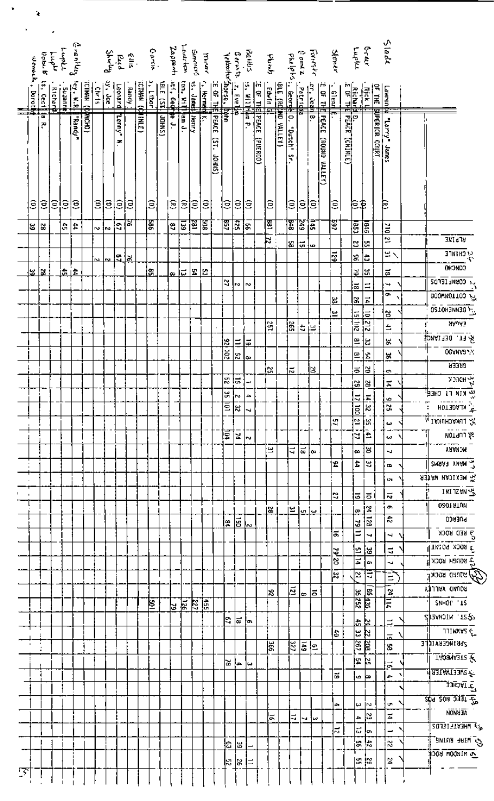|   |                                       |              |                       |                                                                                                                                                                                                                                                                                                                                                                                                                                                        | ملها (۱۳۵۳)<br>د منهای<br>کلامیسا |                                             |                    |                          |       |             |                             |           | Leutritor<br>Zappenti                        |        |              |                      |                                          |                  |                               |          |                                                                                                                                                                                                                                                                                                                    |                         |                    |                      |                |           |                      |                  |                                          | erer<br>Lupla                                                   |                       | <b>Slade</b>                |                                                              |
|---|---------------------------------------|--------------|-----------------------|--------------------------------------------------------------------------------------------------------------------------------------------------------------------------------------------------------------------------------------------------------------------------------------------------------------------------------------------------------------------------------------------------------------------------------------------------------|-----------------------------------|---------------------------------------------|--------------------|--------------------------|-------|-------------|-----------------------------|-----------|----------------------------------------------|--------|--------------|----------------------|------------------------------------------|------------------|-------------------------------|----------|--------------------------------------------------------------------------------------------------------------------------------------------------------------------------------------------------------------------------------------------------------------------------------------------------------------------|-------------------------|--------------------|----------------------|----------------|-----------|----------------------|------------------|------------------------------------------|-----------------------------------------------------------------|-----------------------|-----------------------------|--------------------------------------------------------------|
|   |                                       | <b>Dobut</b> |                       |                                                                                                                                                                                                                                                                                                                                                                                                                                                        |                                   |                                             |                    |                          |       |             | Caria<br>Referent<br>Shwydd |           |                                              |        | Simmons      | yanud                |                                          |                  | Rattis<br>Ceriota             |          |                                                                                                                                                                                                                                                                                                                    | <b>d<sub>atu</sub>d</b> |                    | e ame z<br>المحاسد ع |                | Foreste   |                      | Stoner           |                                          |                                                                 |                       |                             |                                                              |
|   | Dobu K is, Cecilli<br>Womed , Dorothi |              |                       |                                                                                                                                                                                                                                                                                                                                                                                                                                                        |                                   |                                             |                    |                          |       |             |                             |           |                                              |        |              |                      |                                          | Velochofingerse. |                               |          |                                                                                                                                                                                                                                                                                                                    |                         |                    |                      |                |           |                      |                  |                                          |                                                                 |                       |                             |                                                              |
|   |                                       |              | Richar <mark>t</mark> | $\frac{1}{\frac{1}{2} \cdot \frac{1}{2} \cdot \frac{1}{2} \cdot \frac{1}{2} \cdot \frac{1}{2} \cdot \frac{1}{2} \cdot \frac{1}{2} \cdot \frac{1}{2} \cdot \frac{1}{2} \cdot \frac{1}{2} \cdot \frac{1}{2} \cdot \frac{1}{2} \cdot \frac{1}{2} \cdot \frac{1}{2} \cdot \frac{1}{2} \cdot \frac{1}{2} \cdot \frac{1}{2} \cdot \frac{1}{2} \cdot \frac{1}{2} \cdot \frac{1}{2} \cdot \frac{1}{2} \cdot \frac{1}{2} \cdot \frac{1}{2} \cdot \frac{1}{2} \$ |                                   |                                             | Leonard<br>37. Joe |                          | Randy |             | $\frac{1}{2}$               | Just (ST. | tinn, yr i fedd<br>Llyfr, Ged <mark>r</mark> |        | 15. James    |                      |                                          |                  | $z = \frac{1}{2}$             |          | $\frac{1}{25}$<br>$\frac{1}{25}$<br>$\frac{1}{25}$<br>$\frac{1}{25}$<br>$\frac{1}{25}$<br>$\frac{1}{25}$<br>$\frac{1}{25}$<br>$\frac{1}{25}$<br>$\frac{1}{25}$<br>$\frac{1}{25}$<br>$\frac{1}{25}$<br>$\frac{1}{25}$<br>$\frac{1}{25}$<br>$\frac{1}{25}$<br>$\frac{1}{25}$<br>$\frac{1}{25}$<br>$\frac{1}{25}$<br> |                         |                    | <b>Hooper</b>        | <b>Patrick</b> | rer, Jeth | 114 30 3:            | $\frac{1}{2}$    |                                          | <b>SE THE BUT<br/>RECOMPTER</b><br>COF THE BUT<br>DE THE BUT PE |                       | Lawren (te                  |                                                              |
|   |                                       | ᇜ            |                       |                                                                                                                                                                                                                                                                                                                                                                                                                                                        |                                   | $\frac{1}{2}$ (DHOM $\frac{1}{2}$ ) NUML21. |                    |                          |       | стим (финг) |                             |           |                                              |        |              | $\frac{1}{\sqrt{2}}$ | <b>Shorse, Ithin<br/>CE OF THE PEACE</b> |                  |                               |          |                                                                                                                                                                                                                                                                                                                    |                         | BLE (Rding VALLEY) | ē                    |                | ¦∞        | ₲                    |                  |                                          |                                                                 |                       |                             |                                                              |
|   |                                       | ىم:          |                       |                                                                                                                                                                                                                                                                                                                                                                                                                                                        | <b>Theandy</b>                    |                                             |                    | <b>Tenny</b>             |       |             |                             | JOHNS)    | †∯e J.                                       | ∯am J. | <b>Hanry</b> |                      |                                          |                  |                               | Fa<br>P  | <b>PEACE</b>                                                                                                                                                                                                                                                                                                       |                         |                    |                      |                |           | PEACE (ROUND VALLEY) |                  | <br>  РЕАСЕ (СНІМІЕ)<br>  РЕАСЕ (СНІМІЕ) |                                                                 | <b>SUPERTOR COURT</b> | Tarry Banes                 |                                                              |
|   |                                       |              |                       |                                                                                                                                                                                                                                                                                                                                                                                                                                                        |                                   |                                             |                    | z                        |       |             |                             |           |                                              |        |              |                      | $\overline{15}$                          |                  |                               |          |                                                                                                                                                                                                                                                                                                                    |                         |                    | "Dutch" Sr.          |                |           |                      |                  |                                          |                                                                 |                       |                             |                                                              |
|   |                                       |              |                       |                                                                                                                                                                                                                                                                                                                                                                                                                                                        |                                   |                                             |                    |                          |       |             |                             |           |                                              |        |              |                      |                                          |                  |                               |          | (DIRECO)                                                                                                                                                                                                                                                                                                           |                         |                    |                      |                |           |                      |                  |                                          |                                                                 |                       |                             |                                                              |
|   |                                       |              |                       |                                                                                                                                                                                                                                                                                                                                                                                                                                                        |                                   |                                             |                    |                          |       |             |                             |           |                                              |        |              |                      | <b>CSNHOP</b>                            |                  |                               |          |                                                                                                                                                                                                                                                                                                                    |                         |                    |                      |                |           |                      |                  |                                          |                                                                 |                       |                             |                                                              |
|   |                                       |              |                       |                                                                                                                                                                                                                                                                                                                                                                                                                                                        |                                   |                                             |                    |                          |       |             |                             |           |                                              |        |              |                      |                                          |                  |                               |          |                                                                                                                                                                                                                                                                                                                    |                         |                    |                      |                |           |                      |                  |                                          |                                                                 |                       |                             |                                                              |
|   | ĝ                                     | ê            | Ξ                     | ļΞ                                                                                                                                                                                                                                                                                                                                                                                                                                                     | ê                                 | Ξ                                           | έ                  | Ĵ                        | ιΞ    |             | Ξ                           |           | Ξ,                                           | £      | β            | €                    |                                          | β                | ŝ                             | Ξ        |                                                                                                                                                                                                                                                                                                                    | Ξ                       |                    | Ξ                    | β              | ļΞ        |                      | Ξ                |                                          | 巨草                                                              |                       | E                           |                                                              |
|   |                                       |              |                       |                                                                                                                                                                                                                                                                                                                                                                                                                                                        |                                   |                                             |                    |                          |       |             |                             |           |                                              |        |              |                      |                                          |                  |                               |          |                                                                                                                                                                                                                                                                                                                    |                         |                    |                      |                |           |                      |                  |                                          |                                                                 |                       |                             |                                                              |
|   | ౹౽                                    | ∣ଝ           |                       | ۱÷,                                                                                                                                                                                                                                                                                                                                                                                                                                                    | $\ddot{a}$                        | ∾∤∾                                         |                    | $\mathbb{E}[\mathbb{E}]$ |       |             | 冨                           |           | å,                                           | 딚      | 固            | 冨                    |                                          | इ ह              |                               | ន        |                                                                                                                                                                                                                                                                                                                    | E                       |                    | 冨                    | 545            | 高         |                      | 597              | E                                        | 匿                                                               |                       | ă                           |                                                              |
|   |                                       |              |                       |                                                                                                                                                                                                                                                                                                                                                                                                                                                        |                                   |                                             |                    |                          |       |             |                             |           |                                              |        |              |                      |                                          |                  |                               |          |                                                                                                                                                                                                                                                                                                                    | þ                       |                    | ¦≴                   | ŀы             | ∤աօ       |                      |                  | B                                        | la.                                                             |                       | $\overline{z}$              | <b>MITTA</b>                                                 |
|   |                                       |              |                       |                                                                                                                                                                                                                                                                                                                                                                                                                                                        |                                   | $\mathbf{v}$                                | <b>N</b>           | اقلقا                    |       |             |                             |           |                                              |        |              |                      |                                          |                  |                               |          |                                                                                                                                                                                                                                                                                                                    |                         |                    |                      |                |           |                      |                  | æ                                        | đ                                                               |                       | ٣Ŋ                          | 31 инд 13                                                    |
|   | <u>¦৯  র</u>                          |              |                       | <u>ٹ ڈا</u>                                                                                                                                                                                                                                                                                                                                                                                                                                            |                                   |                                             |                    |                          |       |             | Ŀ.                          |           | œ                                            | iದ     | 업법           |                      |                                          |                  |                               |          |                                                                                                                                                                                                                                                                                                                    |                         |                    |                      |                |           |                      |                  | 逼                                        | l.                                                              |                       | $\overline{a}$              | <b>CONCHO</b>                                                |
|   |                                       |              |                       |                                                                                                                                                                                                                                                                                                                                                                                                                                                        |                                   |                                             |                    |                          |       |             |                             |           |                                              |        |              |                      |                                          | ₹                | Γψ                            | <b>N</b> |                                                                                                                                                                                                                                                                                                                    |                         |                    |                      |                |           |                      |                  | l≅                                       | ₩                                                               |                       | ₩                           | <b>F4 CORMLIEFD2</b>                                         |
|   |                                       |              |                       |                                                                                                                                                                                                                                                                                                                                                                                                                                                        |                                   |                                             |                    |                          |       |             |                             |           |                                              |        |              |                      |                                          |                  |                               |          |                                                                                                                                                                                                                                                                                                                    |                         |                    |                      |                |           |                      | 邕                | $\frac{3}{2}$                            | 르                                                               |                       | ō                           | <b>000миоттоэ дэ</b>                                         |
|   |                                       |              |                       |                                                                                                                                                                                                                                                                                                                                                                                                                                                        |                                   |                                             |                    |                          |       |             |                             |           |                                              |        |              |                      |                                          |                  |                               |          |                                                                                                                                                                                                                                                                                                                    |                         |                    |                      |                |           |                      | œ                | $\frac{1}{201}$                          |                                                                 |                       | $\frac{3}{2}$               | O2TOH JNN30                                                  |
|   |                                       |              |                       |                                                                                                                                                                                                                                                                                                                                                                                                                                                        |                                   |                                             |                    |                          |       |             |                             |           |                                              |        |              |                      |                                          |                  |                               |          |                                                                                                                                                                                                                                                                                                                    | ឌ្រ                     |                    | 1ã                   | ŧ              | í≃        |                      |                  |                                          | $\frac{10}{212}$                                                |                       | ÷                           | $\frac{1}{2}$ $\frac{1}{2}$ $\frac{1}{2}$                    |
|   |                                       |              |                       |                                                                                                                                                                                                                                                                                                                                                                                                                                                        |                                   |                                             |                    |                          |       |             |                             |           |                                              |        |              |                      |                                          | <u>  s</u>       | $\equiv$                      | l#       |                                                                                                                                                                                                                                                                                                                    |                         |                    |                      |                |           |                      |                  | ≌                                        | ی.<br>ما                                                        |                       | \$                          | & FT. DEFINAL                                                |
|   |                                       |              |                       |                                                                                                                                                                                                                                                                                                                                                                                                                                                        |                                   |                                             |                    |                          |       |             |                             |           |                                              |        |              |                      |                                          | 102              | x                             | l⇔       |                                                                                                                                                                                                                                                                                                                    |                         |                    |                      |                |           |                      |                  |                                          | ≌<br>Ż,                                                         |                       | ă,                          | <b>OCHNADAN</b>                                              |
|   |                                       |              |                       |                                                                                                                                                                                                                                                                                                                                                                                                                                                        |                                   |                                             |                    |                          |       |             |                             |           |                                              |        |              |                      |                                          |                  |                               |          |                                                                                                                                                                                                                                                                                                                    | l۳                      |                    | ನ                    |                | ls.       |                      |                  | $\vec{\bullet}$                          | ₿                                                               |                       | بة                          | <b>SREER</b>                                                 |
|   |                                       |              |                       |                                                                                                                                                                                                                                                                                                                                                                                                                                                        |                                   |                                             |                    |                          |       |             |                             |           |                                              |        |              |                      |                                          | 꾆                | ļ.                            |          |                                                                                                                                                                                                                                                                                                                    |                         |                    |                      |                |           |                      |                  | $\mathbb{C}$                             | 5                                                               |                       | E                           | <b>A HOLCK</b>                                               |
|   |                                       |              |                       |                                                                                                                                                                                                                                                                                                                                                                                                                                                        |                                   |                                             |                    |                          |       |             |                             |           |                                              |        |              |                      |                                          | ¥,               | łм<br>डाइ                     | م        |                                                                                                                                                                                                                                                                                                                    |                         |                    |                      |                |           |                      |                  | $\frac{17}{12}$ 00                       | $\frac{14}{22}$                                                 |                       | $\vec{v}$<br>ऱ्र            | <b>A KIN LI CHEE</b><br>$\frac{1}{2}$ KLAGETON $\frac{1}{2}$ |
|   |                                       |              |                       |                                                                                                                                                                                                                                                                                                                                                                                                                                                        |                                   |                                             |                    |                          |       |             |                             |           |                                              |        |              |                      |                                          |                  |                               | ┙        |                                                                                                                                                                                                                                                                                                                    |                         |                    |                      |                |           |                      | 4                | ≌                                        | ıж                                                              |                       |                             | <b>ALLINACHUKAI</b>                                          |
|   |                                       |              |                       |                                                                                                                                                                                                                                                                                                                                                                                                                                                        |                                   |                                             |                    |                          |       |             |                             |           |                                              |        |              |                      |                                          | 厚                | N                             |          |                                                                                                                                                                                                                                                                                                                    |                         |                    |                      |                |           |                      |                  | id.                                      | è                                                               |                       | $\boldsymbol{\omega}$<br>وب | wordn1类                                                      |
|   |                                       |              |                       |                                                                                                                                                                                                                                                                                                                                                                                                                                                        |                                   |                                             |                    |                          |       |             |                             |           |                                              |        |              |                      |                                          |                  |                               | l v      |                                                                                                                                                                                                                                                                                                                    | ≝                       |                    | E                    | ا≌ ¦∞          |           |                      |                  | œ                                        | 상                                                               |                       | ч                           | <b>MCKARY</b>                                                |
|   |                                       |              |                       |                                                                                                                                                                                                                                                                                                                                                                                                                                                        |                                   |                                             |                    |                          |       |             |                             |           |                                              |        |              |                      |                                          |                  |                               |          |                                                                                                                                                                                                                                                                                                                    |                         |                    |                      |                |           |                      | 12               | İ,                                       | Ч                                                               |                       | $\blacksquare$              | <b>CHANT THAN S</b>                                          |
|   |                                       |              |                       |                                                                                                                                                                                                                                                                                                                                                                                                                                                        |                                   |                                             |                    |                          |       |             |                             |           |                                              |        |              |                      |                                          |                  |                               |          |                                                                                                                                                                                                                                                                                                                    |                         |                    |                      |                |           |                      |                  |                                          |                                                                 |                       | o.                          | 外出的 маткам 新                                                 |
|   |                                       |              |                       |                                                                                                                                                                                                                                                                                                                                                                                                                                                        |                                   |                                             |                    |                          |       |             |                             |           |                                              |        |              |                      |                                          |                  |                               |          |                                                                                                                                                                                                                                                                                                                    |                         |                    |                      |                |           |                      | ¢,               |                                          | ಹ                                                               |                       | $\vec{N}$                   | <b>INITZWN WA</b>                                            |
|   |                                       |              |                       |                                                                                                                                                                                                                                                                                                                                                                                                                                                        |                                   |                                             |                    |                          |       |             |                             |           |                                              |        |              |                      |                                          |                  |                               |          |                                                                                                                                                                                                                                                                                                                    | 13                      |                    |                      | یا تا ا≅ا      |           |                      |                  |                                          | la i                                                            |                       | ø,                          | 02019TUM                                                     |
|   |                                       |              |                       |                                                                                                                                                                                                                                                                                                                                                                                                                                                        |                                   |                                             |                    |                          |       |             |                             |           |                                              |        |              |                      |                                          | ١Ŧ               | $\left \vec{B}\right _{\sim}$ |          |                                                                                                                                                                                                                                                                                                                    |                         |                    |                      |                |           |                      |                  | ∞                                        | $\frac{34}{120}$<br>౹ಀ                                          |                       | 곣                           | <b>DOEBCO</b>                                                |
|   |                                       |              |                       |                                                                                                                                                                                                                                                                                                                                                                                                                                                        |                                   |                                             |                    |                          |       |             |                             |           |                                              |        |              |                      |                                          |                  |                               |          |                                                                                                                                                                                                                                                                                                                    |                         |                    |                      |                |           |                      | 5                |                                          | Ξ<br>ч                                                          |                       | Ł                           | $\frac{1}{2}$ RED ROCK                                       |
|   |                                       |              |                       |                                                                                                                                                                                                                                                                                                                                                                                                                                                        |                                   |                                             |                    |                          |       |             |                             |           |                                              |        |              |                      |                                          |                  |                               |          |                                                                                                                                                                                                                                                                                                                    |                         |                    |                      |                |           |                      |                  |                                          | ł≌<br>l as                                                      |                       | ₹                           | $\frac{1}{2}$ TW:04 X308 E                                   |
|   |                                       |              |                       |                                                                                                                                                                                                                                                                                                                                                                                                                                                        |                                   |                                             |                    |                          |       |             |                             |           |                                              |        |              |                      |                                          |                  |                               |          |                                                                                                                                                                                                                                                                                                                    |                         |                    |                      |                |           |                      | $\frac{19!}{20}$ |                                          | $\vec{p}$<br>Ċħ                                                 |                       | w                           | $\frac{1}{2}$ дорен нацря $\mathcal{F}$                      |
|   |                                       |              |                       |                                                                                                                                                                                                                                                                                                                                                                                                                                                        |                                   |                                             |                    |                          |       |             |                             |           |                                              |        |              |                      |                                          |                  |                               |          |                                                                                                                                                                                                                                                                                                                    |                         |                    |                      |                |           |                      | Ŀ,               | ≅ا,                                      | Ξ                                                               |                       | ੇ                           | By STIPID BOCK                                               |
|   |                                       |              |                       |                                                                                                                                                                                                                                                                                                                                                                                                                                                        |                                   |                                             |                    |                          |       |             |                             |           |                                              |        |              |                      |                                          |                  |                               |          |                                                                                                                                                                                                                                                                                                                    | k.                      |                    | E                    | $\pmb{\varpi}$ | la        |                      |                  |                                          | 186   36                                                        |                       | 1112                        | <b>ATITYA ONNOS</b>                                          |
|   |                                       |              |                       |                                                                                                                                                                                                                                                                                                                                                                                                                                                        |                                   |                                             |                    |                          |       |             | Ε                           |           | <u>18 전 편 원</u>                              |        |              |                      |                                          |                  |                               |          |                                                                                                                                                                                                                                                                                                                    |                         |                    |                      |                |           |                      |                  |                                          | $\frac{36}{25}$                                                 |                       |                             | SNHOP '15                                                    |
|   |                                       |              |                       |                                                                                                                                                                                                                                                                                                                                                                                                                                                        |                                   |                                             |                    |                          |       |             |                             |           |                                              |        |              |                      |                                          | ls.              | ∣ਛ                            | Įo.      |                                                                                                                                                                                                                                                                                                                    |                         |                    |                      |                |           |                      |                  |                                          | Ŀ<br>k                                                          |                       | ă,                          | SST. MICHAELS                                                |
|   |                                       |              |                       |                                                                                                                                                                                                                                                                                                                                                                                                                                                        |                                   |                                             |                    |                          |       |             |                             |           |                                              |        |              |                      |                                          |                  |                               |          |                                                                                                                                                                                                                                                                                                                    |                         |                    |                      |                |           |                      | l≊               |                                          | မ<br>ķ,                                                         |                       | 쿈                           | <b>TTIRKYS</b>                                               |
|   |                                       |              |                       |                                                                                                                                                                                                                                                                                                                                                                                                                                                        |                                   |                                             |                    |                          |       |             |                             |           |                                              |        |              |                      |                                          |                  |                               |          |                                                                                                                                                                                                                                                                                                                    | 눐                       |                    | 罔                    |                | 희리        |                      |                  |                                          | ষ্ট্ৰ<br>ब्रि                                                   |                       | ă,                          | <b>SPRINGERVICLE</b>                                         |
|   |                                       |              |                       |                                                                                                                                                                                                                                                                                                                                                                                                                                                        |                                   |                                             |                    |                          |       |             |                             |           |                                              |        |              |                      |                                          | lЖ               | ŀв                            | ننا      |                                                                                                                                                                                                                                                                                                                    |                         |                    |                      |                |           |                      |                  |                                          | ļΤ<br>P.                                                        |                       | $\vec{\sigma}$              | Tioninaus &                                                  |
|   |                                       |              |                       |                                                                                                                                                                                                                                                                                                                                                                                                                                                        |                                   |                                             |                    |                          |       |             |                             |           |                                              |        |              |                      |                                          |                  |                               |          |                                                                                                                                                                                                                                                                                                                    |                         |                    |                      |                |           |                      | l5               |                                          | G<br>ko.                                                        |                       | ÷                           | में घरा एस उठालाड <sub>है</sub> ।                            |
|   |                                       |              |                       |                                                                                                                                                                                                                                                                                                                                                                                                                                                        |                                   |                                             |                    |                          |       |             |                             |           |                                              |        |              |                      |                                          |                  |                               |          |                                                                                                                                                                                                                                                                                                                    |                         |                    |                      |                |           |                      |                  |                                          |                                                                 |                       |                             | $\frac{1}{2}$ IVCHEE<br><u>क्रीन डेक्स उत्तरी में मैं </u>   |
|   |                                       |              |                       |                                                                                                                                                                                                                                                                                                                                                                                                                                                        |                                   |                                             |                    |                          |       |             |                             |           |                                              |        |              |                      |                                          |                  |                               |          |                                                                                                                                                                                                                                                                                                                    |                         |                    |                      |                |           |                      | ٠                |                                          | E<br>lru.                                                       |                       | Un.                         | <b>NONH TA</b>                                               |
|   |                                       |              |                       |                                                                                                                                                                                                                                                                                                                                                                                                                                                        |                                   |                                             |                    |                          |       |             |                             |           |                                              |        |              |                      |                                          |                  |                               |          |                                                                                                                                                                                                                                                                                                                    | 능                       |                    | 4                    | ч              | س∤        |                      |                  |                                          | ΙS<br>÷                                                         |                       | $\overline{\mathbf{z}}$     | $\epsilon_{\rm s}$ ) Mhevietecos                             |
|   |                                       |              |                       |                                                                                                                                                                                                                                                                                                                                                                                                                                                        |                                   |                                             |                    |                          |       |             |                             |           |                                              |        |              |                      |                                          |                  |                               |          |                                                                                                                                                                                                                                                                                                                    |                         |                    |                      |                |           |                      | $\frac{1}{2}$    |                                          | ١ū<br>lо.                                                       |                       | ÷                           | $\epsilon_{\rm SNIM}$ and $\epsilon_{\rm SN}$                |
|   |                                       |              |                       |                                                                                                                                                                                                                                                                                                                                                                                                                                                        |                                   |                                             |                    |                          |       |             |                             |           |                                              |        |              |                      |                                          | þ                | 읍                             |          |                                                                                                                                                                                                                                                                                                                    |                         |                    |                      |                |           |                      |                  |                                          | ŀ.<br>¦မှ                                                       |                       | Z,                          | <b>A MINDOM ROCK</b>                                         |
|   |                                       |              |                       |                                                                                                                                                                                                                                                                                                                                                                                                                                                        |                                   |                                             |                    |                          |       |             |                             |           |                                              |        |              |                      |                                          | k                | <u>রি</u>                     | ∣≓       |                                                                                                                                                                                                                                                                                                                    |                         |                    |                      |                |           |                      |                  |                                          | ង ¦ឌ                                                            |                       | 24                          |                                                              |
| 7 |                                       |              |                       |                                                                                                                                                                                                                                                                                                                                                                                                                                                        |                                   |                                             |                    |                          |       |             |                             |           |                                              |        |              |                      |                                          |                  |                               |          |                                                                                                                                                                                                                                                                                                                    |                         |                    |                      |                |           |                      |                  |                                          |                                                                 |                       |                             |                                                              |

 $\bullet$ 

 $\ddot{\textbf{z}}$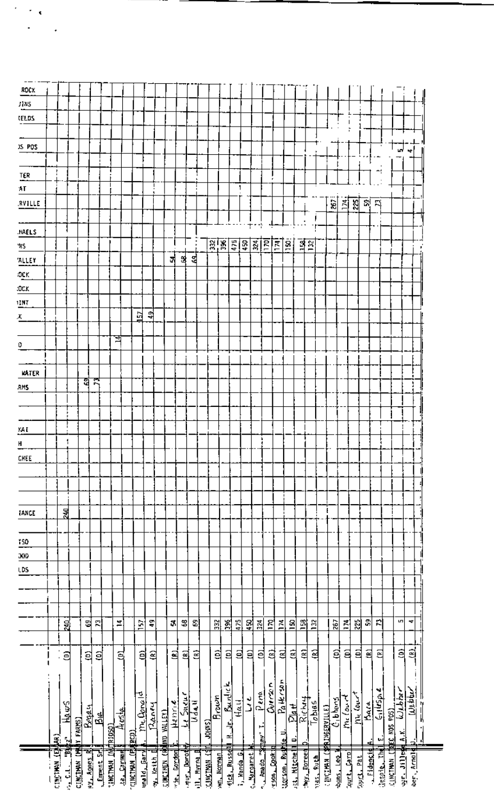| ROCK           |                          |               |                       |            |           |                         |               |                        |                        |            |                    |                    |                     |            |                     |                                    |                        |               |             |                     |                  |                 |                     |                      |            |                              |                       |          |              |              |                                 |                           |                          |                        |          |
|----------------|--------------------------|---------------|-----------------------|------------|-----------|-------------------------|---------------|------------------------|------------------------|------------|--------------------|--------------------|---------------------|------------|---------------------|------------------------------------|------------------------|---------------|-------------|---------------------|------------------|-----------------|---------------------|----------------------|------------|------------------------------|-----------------------|----------|--------------|--------------|---------------------------------|---------------------------|--------------------------|------------------------|----------|
|                |                          |               |                       |            |           |                         |               |                        |                        |            |                    |                    |                     |            |                     |                                    |                        |               |             |                     |                  |                 |                     |                      |            |                              |                       |          |              |              |                                 |                           |                          |                        |          |
| J115           |                          |               |                       |            |           |                         |               |                        |                        |            |                    |                    |                     |            |                     |                                    |                        |               |             |                     |                  |                 |                     |                      |            |                              |                       |          |              |              |                                 |                           |                          |                        |          |
| <b>LELDS</b>   |                          |               |                       |            |           |                         |               |                        |                        |            |                    |                    |                     |            |                     |                                    |                        |               |             |                     |                  |                 |                     |                      |            |                              |                       |          |              |              |                                 |                           |                          |                        |          |
|                |                          |               |                       |            |           |                         |               |                        |                        |            |                    |                    |                     |            |                     |                                    |                        |               |             |                     |                  |                 |                     |                      |            |                              |                       |          |              |              |                                 |                           |                          |                        |          |
| JS POS         |                          |               |                       |            |           |                         |               |                        |                        |            |                    |                    |                     |            |                     |                                    |                        |               |             |                     |                  |                 |                     |                      |            |                              |                       |          |              |              |                                 |                           | 'س                       | ÷                      |          |
|                |                          |               |                       |            |           |                         |               |                        |                        |            |                    |                    |                     |            |                     |                                    |                        |               |             |                     |                  |                 |                     |                      |            |                              |                       |          |              |              |                                 |                           |                          |                        |          |
| TER            |                          |               |                       |            |           |                         |               |                        |                        |            |                    |                    |                     |            |                     |                                    |                        |               |             |                     |                  |                 |                     |                      |            |                              |                       |          |              |              |                                 |                           |                          |                        |          |
| AГ             |                          |               |                       |            |           |                         |               |                        |                        |            |                    |                    |                     |            |                     |                                    |                        | 1             |             |                     |                  |                 |                     |                      |            |                              |                       |          |              |              |                                 |                           |                          |                        |          |
| RVILLE         |                          |               |                       |            |           |                         |               |                        |                        |            |                    |                    |                     |            |                     |                                    |                        |               |             |                     |                  |                 |                     |                      |            |                              | ć,                    | 회        | 쉲            | 副            | F)                              |                           |                          |                        |          |
|                |                          |               |                       |            |           |                         |               |                        |                        |            |                    |                    |                     |            |                     |                                    |                        |               |             |                     |                  |                 |                     |                      |            |                              |                       |          |              |              |                                 |                           |                          |                        |          |
| <b>HAELS</b>   |                          |               |                       |            |           |                         |               |                        |                        |            |                    |                    |                     |            |                     |                                    |                        |               | Ť           |                     |                  |                 |                     |                      |            |                              |                       |          |              |              |                                 |                           |                          |                        |          |
| 45             |                          |               |                       |            |           |                         |               |                        |                        |            |                    |                    |                     |            |                     | 深陽                                 |                        | $rac{1}{450}$ |             | 324                 | $\overline{170}$ | 회회              |                     | $\frac{3}{2}$        |            |                              |                       |          |              |              |                                 |                           |                          |                        |          |
| ALLEY          |                          |               |                       |            |           |                         |               |                        |                        |            |                    | 겨                  | 쒾                   | 옄          |                     |                                    |                        |               |             |                     |                  |                 |                     |                      |            |                              |                       |          |              |              |                                 |                           |                          |                        |          |
| ЮCК            |                          |               |                       |            |           |                         |               |                        |                        |            |                    |                    |                     |            |                     |                                    |                        |               |             |                     |                  |                 |                     |                      |            |                              |                       |          |              |              |                                 |                           |                          |                        |          |
| :OCK           |                          |               |                       |            |           |                         |               |                        |                        |            |                    |                    |                     |            |                     |                                    |                        |               |             |                     |                  |                 |                     |                      |            |                              |                       |          |              |              |                                 |                           |                          |                        |          |
| 1INT           |                          |               |                       |            |           |                         |               |                        |                        |            |                    |                    |                     |            |                     |                                    |                        |               |             |                     |                  |                 |                     |                      |            |                              |                       |          |              |              |                                 |                           |                          |                        |          |
| х              |                          |               |                       |            |           |                         |               |                        | 볁                      | 리          |                    |                    |                     |            |                     |                                    |                        |               |             |                     |                  |                 |                     |                      |            |                              |                       |          |              |              |                                 |                           |                          |                        |          |
|                |                          |               |                       |            |           |                         |               |                        |                        |            |                    |                    |                     |            |                     |                                    |                        |               |             |                     |                  |                 |                     |                      |            |                              |                       |          |              |              |                                 |                           |                          |                        |          |
| ٥              |                          |               |                       |            |           |                         | व             |                        |                        |            |                    |                    |                     |            |                     |                                    |                        |               |             |                     |                  |                 |                     |                      |            |                              |                       |          |              |              |                                 |                           |                          |                        |          |
|                |                          |               |                       |            |           |                         |               |                        |                        |            |                    |                    |                     |            |                     |                                    |                        |               |             |                     |                  |                 |                     |                      |            |                              |                       |          |              |              |                                 |                           |                          |                        |          |
| <b>KATER</b>   |                          |               |                       |            |           |                         |               |                        |                        |            |                    |                    |                     |            |                     |                                    |                        |               |             |                     |                  |                 |                     |                      |            |                              |                       |          |              |              |                                 |                           |                          |                        |          |
|                |                          |               |                       | a          |           |                         |               |                        |                        |            |                    |                    |                     |            |                     |                                    |                        |               |             |                     |                  |                 |                     |                      |            |                              |                       |          |              |              |                                 |                           |                          |                        |          |
| RMS.           |                          |               |                       |            |           |                         |               |                        |                        |            |                    |                    |                     |            |                     |                                    |                        |               |             |                     |                  |                 |                     |                      |            |                              |                       |          |              |              |                                 |                           |                          |                        |          |
|                |                          |               |                       |            |           |                         |               |                        |                        |            |                    |                    |                     |            |                     |                                    |                        |               |             |                     |                  |                 |                     |                      |            |                              |                       |          |              |              |                                 |                           |                          |                        |          |
|                |                          |               |                       |            |           |                         |               |                        |                        |            |                    |                    |                     |            |                     |                                    |                        |               |             |                     |                  |                 |                     |                      |            |                              |                       |          |              |              |                                 |                           |                          |                        |          |
| KA I           |                          |               |                       |            |           |                         |               |                        |                        |            |                    |                    |                     |            |                     |                                    |                        |               |             |                     |                  |                 |                     |                      |            |                              |                       |          |              |              |                                 |                           |                          |                        |          |
| $\overline{H}$ |                          |               |                       |            |           |                         |               |                        |                        |            |                    |                    |                     |            |                     |                                    |                        |               |             |                     |                  |                 |                     |                      |            |                              |                       |          |              |              |                                 |                           |                          |                        |          |
| CHEE           |                          |               |                       |            |           |                         |               |                        |                        |            |                    |                    |                     |            |                     |                                    |                        |               |             |                     |                  |                 |                     |                      |            |                              |                       |          |              |              |                                 |                           |                          |                        |          |
|                |                          |               |                       |            |           |                         |               |                        |                        |            |                    |                    |                     |            |                     |                                    |                        |               |             |                     |                  |                 |                     |                      |            |                              |                       |          |              |              |                                 |                           |                          |                        |          |
|                |                          |               |                       |            |           |                         |               |                        |                        |            |                    |                    |                     |            |                     |                                    |                        |               |             |                     |                  |                 |                     |                      |            |                              |                       |          |              |              |                                 |                           |                          |                        |          |
|                |                          |               |                       |            |           |                         |               |                        |                        |            |                    |                    |                     |            |                     |                                    |                        |               |             |                     |                  |                 |                     |                      |            |                              |                       |          |              |              |                                 |                           |                          |                        |          |
| <b>TANCE</b>   |                          | 뒱             |                       |            |           |                         |               |                        |                        |            |                    |                    |                     |            |                     |                                    |                        |               |             |                     |                  |                 |                     |                      |            |                              |                       |          |              |              |                                 |                           |                          |                        |          |
|                |                          |               |                       |            |           |                         |               |                        |                        |            |                    |                    |                     |            |                     |                                    |                        |               |             |                     |                  |                 |                     |                      |            |                              |                       |          |              |              |                                 |                           |                          |                        |          |
| 150            |                          |               |                       |            |           |                         |               |                        |                        |            |                    |                    |                     |            |                     |                                    |                        |               |             |                     |                  |                 |                     |                      |            |                              |                       |          |              |              |                                 |                           |                          |                        |          |
| 300            |                          |               |                       |            |           |                         |               |                        |                        |            |                    |                    |                     |            |                     |                                    |                        |               |             |                     |                  |                 |                     |                      |            |                              |                       |          |              |              |                                 |                           |                          |                        |          |
| LDS.           |                          |               |                       |            |           |                         |               |                        |                        |            |                    |                    |                     |            |                     |                                    |                        |               |             |                     |                  |                 |                     |                      |            |                              |                       |          |              |              |                                 |                           |                          |                        |          |
|                |                          |               |                       |            |           |                         |               |                        |                        |            |                    |                    |                     |            |                     |                                    |                        |               |             |                     |                  |                 |                     |                      |            |                              |                       |          |              |              |                                 |                           |                          |                        |          |
|                |                          |               |                       |            |           |                         |               |                        |                        |            |                    |                    |                     |            |                     |                                    |                        |               |             |                     |                  |                 |                     |                      |            |                              |                       |          |              |              |                                 |                           |                          |                        |          |
|                |                          |               |                       |            |           |                         |               |                        |                        |            |                    |                    |                     |            |                     |                                    |                        |               |             |                     |                  |                 |                     |                      |            |                              |                       |          |              |              |                                 |                           |                          |                        |          |
|                |                          | 돪             |                       | 뚹          | 圖         |                         | Ξ             |                        | 157                    | Ş          |                    | 3                  | S                   | S,         |                     | 꾋                                  | $\frac{36}{25}$        | $rac{1}{475}$ | 힓           | 324                 | $\mathbb{Z}$     | 174             | $\frac{8}{150}$     | 폢                    | 132        |                              | 267                   | 174      | 뉇            | 3            | R                               |                           | 몌                        | 4                      |          |
|                |                          |               |                       |            |           |                         |               |                        |                        |            |                    |                    |                     |            |                     |                                    |                        |               |             |                     |                  |                 |                     |                      |            |                              |                       |          |              |              |                                 |                           |                          |                        |          |
|                |                          |               |                       |            |           |                         |               |                        |                        | 옠          |                    | €                  | 혘                   | 힠          |                     | 희                                  | ë                      | 흡             | 힘           | 힄                   | 힄                | 뤅               | 흭                   | 힠                    | 혘          |                              | මූ                    | 용        | 힄            | $\mathbb{R}$ | 힘                               |                           | 힠                        | बुं                    |          |
|                |                          | ê             |                       | $\ddot{c}$ | 희         |                         | 팈             |                        | ê                      |            |                    |                    |                     |            |                     |                                    |                        |               |             |                     |                  |                 |                     |                      |            |                              |                       |          |              |              |                                 |                           |                          |                        |          |
|                |                          |               |                       |            |           |                         |               |                        |                        |            |                    |                    |                     |            |                     |                                    |                        |               |             |                     |                  |                 |                     |                      |            |                              |                       |          |              |              |                                 |                           |                          |                        |          |
|                |                          |               |                       |            |           |                         |               |                        |                        |            |                    |                    |                     |            |                     |                                    |                        |               |             |                     |                  | Patk rson       |                     |                      |            |                              |                       |          |              |              |                                 |                           |                          |                        |          |
|                |                          |               |                       |            |           |                         |               |                        |                        |            |                    |                    |                     |            |                     | $\overline{\frac{\beta_{rot}}{2}}$ | باعايسها               | Hall          | ذ           | $P$ era             | Qurson           |                 |                     |                      |            |                              |                       |          |              |              | $\frac{1}{7}$ dsp <sub>11</sub> |                           | $\frac{1}{\log b \ln c}$ | معامایانیا             |          |
|                |                          | <u>Haws</u>   |                       | Boary      | 뎋         |                         | Arcile        |                        | m، <u>Don</u> ald      | Praney     |                    | Henrie             | <u>Le Sheur</u>     | Mdau       |                     |                                    |                        |               |             |                     |                  |                 | <u>Platt</u>        | $\overline{R}$ ichay | Tobias     |                              | $\mathcal{C}_1$ bhang | me lourt | $m \omega t$ | $hat{a}$     |                                 |                           |                          |                        |          |
|                |                          |               |                       |            |           |                         |               |                        |                        |            | IND VALLEY)        |                    |                     |            | <b>JOHNS</b>        |                                    | ्र<br>न                |               |             | $\frac{1}{2}$       |                  |                 |                     |                      |            |                              |                       |          |              |              |                                 |                           |                          |                        |          |
|                | <b>CHART LEARN CHART</b> | $\mathbf{E}$  | CINCINAN (MAI) FARNS) |            |           | <b>CROTAL LINE DESC</b> |               | <b>COMPONAL (RECO)</b> |                        |            |                    |                    |                     |            |                     |                                    |                        |               |             |                     |                  | tterson,Ru种te U | ⋼                   |                      |            | <b>CONCERNY ( SHERRILLE)</b> |                       |          |              | ¢            | Ψ                               | CLINCTINAN (THEC NOS POS) | 녧                        | $\mathbf{a}^{\dagger}$ | <u>4</u> |
|                |                          | ا≝<br>اناقامت |                       | PY, Ages R | Emment Sr |                         | التعاناتي كون |                        | <u>لا Teiry له امت</u> | 9. Keith B | <b>CUCTMEN (AN</b> | <u>rie, Gordon</u> | <b>Algo-of Them</b> | L. Myrma R | <b>GINCIANA (ST</b> | <b>Herman Motiver</b>              | <b>Thesall</b> , Anti- | i, Kanda Li   | de Mangaret | <b>Light</b> Coeman | Eson Cook:       |                 | <b>Jits</b> Mitchel | Doreen,              | hias, Ruth |                              | Rons, Leo             | ant Lare | Jan L. Pat   | Fidencid     | despie, Ind                     |                           | <b>Wallie Tit</b>        | ber, Armit             |          |
|                |                          |               |                       |            |           |                         |               |                        |                        |            |                    |                    |                     |            |                     |                                    |                        |               |             |                     |                  |                 |                     |                      |            |                              |                       |          |              |              |                                 |                           |                          |                        |          |

 $\mathcal{F} \rightarrow \mathcal{L}$ 

 $\epsilon = 1$ 

 $\cdot$  --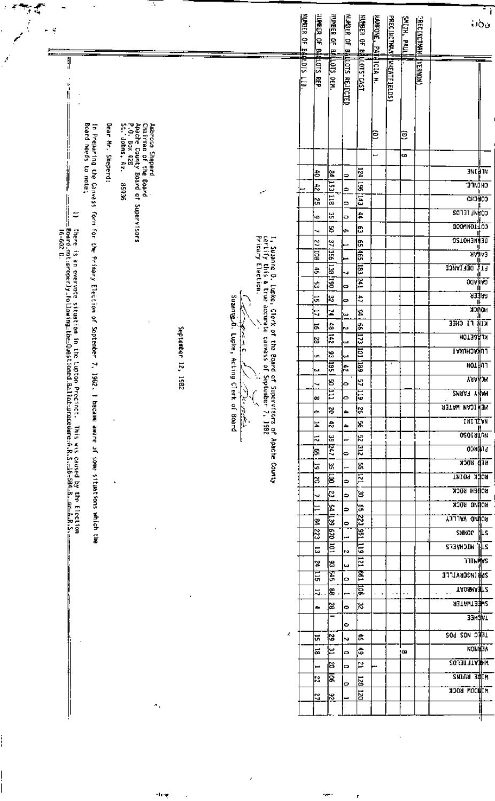| ÷ |                                                                                                                                                                |              |                                                                                                              |             |                   |                                                                                    | <u>Kumer of ay</u> | <b>LUPRER OF</b><br>오 | <b>PURBER OF</b><br>e             | NUMBER OF B          | KUMBER OF B.             | <b>KANPONE, PA:</b>  | <b>PRECINCTION</b>   | <b>ALTH</b><br>ē | <b>PECINITINAL</b> |                              | ن∂ن;                             |
|---|----------------------------------------------------------------------------------------------------------------------------------------------------------------|--------------|--------------------------------------------------------------------------------------------------------------|-------------|-------------------|------------------------------------------------------------------------------------|--------------------|-----------------------|-----------------------------------|----------------------|--------------------------|----------------------|----------------------|------------------|--------------------|------------------------------|----------------------------------|
|   | \$<br>Baard<br>in Preparing the Canwass form for the Primary Election of Suptember                                                                             | <b>Rear</b>  | Ambrose Sheperd<br>Chairman of the Board<br>Apache County Board of S<br>P.O. Box 428<br>St. Johns, Az. 85936 |             |                   |                                                                                    | diums LIB          | <b>MALOTS</b><br>ē    | LOTS DEN.                         | <b>LOTS REJECTED</b> | וְרַחַּוּ: רַאל <u>ו</u> | <u>іфіста н</u><br>Ξ | <b>INNEATFIELDS</b>  | 皀                | <b>TRONGER</b>     |                              |                                  |
|   | meeds                                                                                                                                                          | Mr. Sheperd: |                                                                                                              |             |                   |                                                                                    |                    |                       |                                   |                      |                          | L                    |                      | œ                |                    |                              |                                  |
|   | S                                                                                                                                                              |              |                                                                                                              |             |                   |                                                                                    |                    | 농                     |                                   |                      | $\frac{1}{24}$           |                      |                      |                  |                    |                              | जा है। पर                        |
|   | note:                                                                                                                                                          |              |                                                                                                              |             |                   |                                                                                    |                    | 치                     | 업                                 | ∣⇔                   | $\overline{\mathbf{s}}$  |                      |                      |                  |                    | כוונות ב                     |                                  |
|   |                                                                                                                                                                |              |                                                                                                              |             |                   | уń,                                                                                |                    | ង<br>ស                | 1531118                           | ∣⇔<br>lo             | E                        |                      |                      |                  |                    | <b>CONCHO</b>                |                                  |
|   | 5                                                                                                                                                              |              | Supervisors                                                                                                  |             |                   |                                                                                    |                    | ٠o                    | 님                                 | b                    | l‡                       |                      |                      |                  |                    | COANFIELDS                   |                                  |
|   |                                                                                                                                                                |              |                                                                                                              |             |                   |                                                                                    |                    | ┙                     | g                                 | ю                    | င္ဟ                      |                      |                      |                  |                    | COOMINGT 03                  |                                  |
|   |                                                                                                                                                                |              |                                                                                                              |             |                   |                                                                                    |                    | Z                     | ٣                                 |                      | ß,                       |                      |                      |                  |                    | OSTOHENNESO                  |                                  |
|   | there is an overvote situation in the !<br>Board-not:propecly-following-the-Quest<br>16-602 B.                                                                 |              |                                                                                                              |             |                   | I, Suzanne D. Lupke, Clerk of<br>certify this a true accurate<br>Primary Election. |                    | 扈                     | 扈                                 |                      | 信                        |                      |                      |                  |                    |                              | <b><i><u>RABA3</u></i></b><br>ıŧ |
|   |                                                                                                                                                                |              |                                                                                                              |             |                   |                                                                                    |                    | ß,                    | $\overline{061}$ $\overline{861}$ | 4                    | 區                        |                      |                      |                  |                    | DEL IVNCE                    | ाउ                               |
|   |                                                                                                                                                                |              |                                                                                                              |             |                   |                                                                                    |                    | k.                    |                                   | o                    | $\mathbb{E}$             |                      |                      |                  |                    | <b>pody</b> tivo             |                                  |
|   |                                                                                                                                                                |              |                                                                                                              |             | Suzanne_d.        |                                                                                    |                    | ١ū                    | k                                 | Þ                    | ÷,                       |                      |                      |                  |                    |                              | धर्मेष्ठ<br><b>HONCK</b>         |
|   |                                                                                                                                                                |              |                                                                                                              |             |                   | Clerk of the Bo                                                                    |                    | E                     | ¦≍                                | دمه:                 | ጃ                        |                      |                      |                  |                    | उझे से संघ                   |                                  |
|   |                                                                                                                                                                |              |                                                                                                              |             | Ņ                 |                                                                                    |                    | 능                     | a<br>信                            | ю.                   | a<br>同                   |                      |                      |                  |                    | KLAGETON                     |                                  |
|   |                                                                                                                                                                |              |                                                                                                              | September   | Lupke,<br>ام<br>م | <b>Canvass</b>                                                                     |                    | 12                    | s                                 | ш                    | 巨                        |                      |                      |                  |                    | <b>LUKACHUKAI</b>            |                                  |
|   |                                                                                                                                                                |              |                                                                                                              | 12,         | Þ                 |                                                                                    |                    | ÙΠ,                   | 憳                                 | ta)<br>ļ÷.           | 텽                        |                      |                      |                  |                    | พo⊥∦กา                       |                                  |
|   |                                                                                                                                                                |              |                                                                                                              | <b>7861</b> | cting Clerk of    | ard of Superviscrs of Apache County<br>of September 7, 1982                        |                    | Įш<br>┙               | 8                                 | ю.                   | þ                        |                      |                      |                  |                    | <b>YAAHOM</b>                |                                  |
|   |                                                                                                                                                                |              |                                                                                                              |             |                   |                                                                                    |                    | lœ                    | E                                 | lo.                  | 扂                        |                      |                      |                  |                    | <b>ZMAAT YAPM</b>            |                                  |
|   |                                                                                                                                                                |              |                                                                                                              |             | سي د برد برو      |                                                                                    |                    | l۰                    | ੪                                 | l Ar                 | ļ.                       |                      |                      |                  |                    | MENICAN MATER                |                                  |
|   |                                                                                                                                                                | $\cdot$      |                                                                                                              |             | Board             |                                                                                    |                    | 74                    | ¦≑                                | l a                  | Js.                      |                      |                      |                  |                    | <b>INITZWN</b>               |                                  |
|   |                                                                                                                                                                |              |                                                                                                              |             |                   |                                                                                    |                    | ă                     |                                   | Ŧ,                   | 侶                        |                      |                      |                  |                    | <u>oeorațun</u>              |                                  |
|   |                                                                                                                                                                |              |                                                                                                              |             |                   |                                                                                    |                    | le,                   | 33 paz                            | lo.                  | 의                        |                      |                      |                  |                    | $0.38$ and $0.38$            |                                  |
|   |                                                                                                                                                                |              |                                                                                                              |             |                   |                                                                                    |                    | l۵                    | ¦‰                                | $\overline{ }$       | ١s,                      |                      |                      |                  |                    | RED ROCK                     |                                  |
|   |                                                                                                                                                                | $\Delta$     |                                                                                                              |             |                   |                                                                                    |                    | թ                     | Ē                                 | ь                    | 巨                        |                      |                      |                  |                    | <b>ROEK POINT</b>            |                                  |
|   | Lupton Precinct. This was caused by the Election<br>ioned.Ballot-proceedwre-A.R.S.-16-584-B. ac-A.R.S.<br>7, 1982. I became aware of some situations which the |              |                                                                                                              |             |                   |                                                                                    |                    | ч                     | သြ                                | Þ                    | s                        |                      |                      |                  |                    | војјен воск<br>RONNO ROCK    |                                  |
|   |                                                                                                                                                                |              |                                                                                                              |             |                   |                                                                                    |                    | Ξ                     | ¦£                                | lФ                   | ¦a                       |                      |                      |                  |                    | <b>ROUND WALLEY</b>          |                                  |
|   |                                                                                                                                                                |              |                                                                                                              |             |                   |                                                                                    |                    | ∣ะ                    | E<br>इ                            | l۰                   |                          |                      |                      |                  |                    | SNHOP LILS                   |                                  |
|   |                                                                                                                                                                |              |                                                                                                              |             |                   |                                                                                    |                    | इ                     | 巨                                 | <b>سم</b>            | 223 251 119              |                      |                      |                  |                    | <b>21 HICHVEF2</b>           |                                  |
|   |                                                                                                                                                                |              |                                                                                                              |             |                   |                                                                                    |                    | ವ<br> X               | း                                 | lv.                  |                          |                      |                      |                  |                    | <b>TITINATS</b>              |                                  |
|   |                                                                                                                                                                |              |                                                                                                              |             |                   |                                                                                    |                    | 듢                     | E                                 | Ιw<br>ь              | <u>121 661</u>           |                      |                      |                  |                    | <b>SPP INGERVILLE</b>        |                                  |
|   |                                                                                                                                                                |              |                                                                                                              |             |                   |                                                                                    |                    | 5.                    | ⊯                                 | ÷                    | हि                       | и,                   | $\ddot{\phantom{0}}$ |                  |                    | <b>TADSMANTZ</b><br>$\sim$ . |                                  |
|   |                                                                                                                                                                |              |                                                                                                              |             |                   |                                                                                    |                    | æ.                    | జ                                 | l۰                   | ¦ଝ                       |                      |                      |                  |                    | <b>SIERINATER</b>            |                                  |
|   |                                                                                                                                                                |              |                                                                                                              |             |                   |                                                                                    |                    |                       | -                                 |                      |                          |                      |                      |                  |                    | <u>занфит</u>                |                                  |
|   |                                                                                                                                                                |              |                                                                                                              |             |                   | ł.                                                                                 |                    | ᄇ                     | 13                                | G                    | ¦#                       |                      |                      |                  |                    | TEEC NOS POS                 |                                  |
|   |                                                                                                                                                                |              |                                                                                                              |             |                   |                                                                                    |                    | ե                     | ⊴ا                                | l~                   | ¦\$                      |                      |                      | łш               |                    | <b>NON HEA</b>               |                                  |
|   |                                                                                                                                                                |              |                                                                                                              |             |                   |                                                                                    |                    |                       | 8                                 | b<br>lo.             | ≅                        |                      |                      |                  |                    | <b>ZO J3T TTA BIW</b>        |                                  |
|   |                                                                                                                                                                |              |                                                                                                              |             |                   |                                                                                    |                    | ⊨<br>R,               | ड़                                |                      | $\frac{129}{25}$         |                      |                      |                  |                    | <b>ZMIUS RUIN</b>            |                                  |
|   |                                                                                                                                                                |              |                                                                                                              |             |                   |                                                                                    |                    |                       |                                   | b                    |                          |                      |                      |                  |                    | <b>MILIODN ROCK</b>          |                                  |
|   |                                                                                                                                                                |              | $\sigma_{\rm A}$                                                                                             |             |                   |                                                                                    |                    | N                     | 8                                 |                      |                          |                      |                      |                  |                    |                              |                                  |

÷

 $\mathsf{r}$ 

 $\alpha_{\overline{q}}$